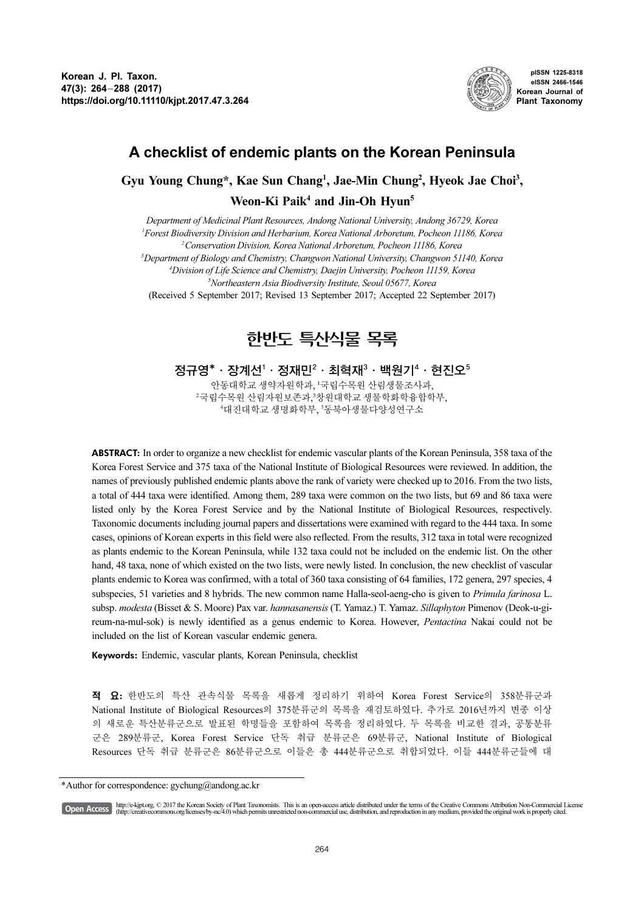

pISSN 1225-8318 eISSN 2466-1546 Korean Journal of Plant Taxonomy

# A checklist of endemic plants on the Korean Peninsula

Gyu Young Chung\*, Kae Sun Chang<sup>1</sup>, Jae-Min Chung<sup>2</sup>, Hyeok Jae Choi<sup>3</sup>,

Weon-Ki Paik<sup>4</sup> and Jin-Oh Hyun<sup>5</sup>

Department of Medicinal Plant Resources, Andong National University, Andong 36729, Korea Forest Biodiversity Division and Herbarium, Korea National Arboretum, Pocheon 11186, Korea Conservation Division, Korea National Arboretum, Pocheon 11186, Korea Department of Biology and Chemistry, Changwon National University, Changwon 51140, Korea Division of Life Science and Chemistry, Daejin University, Pocheon 11159, Korea Northeastern Asia Biodiversity Institute, Seoul 05677, Korea (Received 5 September 2017; Revised 13 September 2017; Accepted 22 September 2017)

# 한반도 특산식물 목록

정규영\* · 장계선 $^1$  · 정재민 $^2$  · 최혁재 $^3$  · 백원기 $^4$  · 현진오 $^5$ 

안동대학교생약자원학과, '국립수목원산림생물조사과, <sup>2</sup>국립수목원 산림자원보존과,<sup>3</sup>창원대학교 생물학화학융합학부, 4대진대학교 생명화학부, '동북아생물다양성연구소

ABSTRACT: In order to organize a new checklist for endemic vascular plants of the Korean Peninsula, 358 taxa of the Korea Forest Service and 375 taxa of the National Institute of Biological Resources were reviewed. In addition, the names of previously published endemic plants above the rank of variety were checked up to 2016. From the two lists, a total of 444 taxa were identified. Among them, 289 taxa were common on the two lists, but 69 and 86 taxa were listed only by the Korea Forest Service and by the National Institute of Biological Resources, respectively. Taxonomic documents including journal papers and dissertations were examined with regard to the 444 taxa. In some cases, opinions of Korean experts in this field were also reflected. From the results, 312 taxa in total were recognized as plants endemic to the Korean Peninsula, while 132 taxa could not be included on the endemic list. On the other hand, 48 taxa, none of which existed on the two lists, were newly listed. In conclusion, the new checklist of vascular plants endemic to Korea was confirmed, with a total of 360 taxa consisting of 64 families, 172 genera, 297 species, 4 subspecies, 51 varieties and 8 hybrids. The new common name Halla-seol-aeng-cho is given to Primula farinosa L. subsp. modesta (Bisset & S. Moore) Pax var. hannasanensis (T. Yamaz.) T. Yamaz. Sillaphyton Pimenov (Deok-u-gireum-na-mul-sok) is newly identified as a genus endemic to Korea. However, Pentactina Nakai could not be included on the list of Korean vascular endemic genera.

Keywords: Endemic, vascular plants, Korean Peninsula, checklist

적 요: 한반도의 특산 관속식물 목록을 새롭게 정리하기 위하여 Korea Forest Service의 358분류군과 National Institute of Biological Resources의 375분류군의 목록을 재검토하였다. 추가로 2016년까지 변종 이상 의 새로운 특산분류군으로 발표된 학명들을 포함하여 목록을 정리하였다. 두 목록을 비교한 결과, 공통분류 군은 289분류군, Korea Forest Service 단독 취급 분류군은 69분류군, National Institute of Biological Resources 단독 취급 분류군은 86분류군으로 이들은 총 444분류군으로 취합되었다. 이들 444분류군들에 대

http://e-kjpt.org, © 2017 the Korean Society of Plant Taxonomists. This is an open-access article distributed under the terms of the Creative Commons Attribution Non-Commercial License [Open Access] (http://creativecommons.org/licenses/by-nc/4.0) which permits unrestricted non-commercial use, distribution, and reproduction in any medium, provided the original work is properly cited.

<sup>\*</sup>Author for correspondence: gychung@andong.ac.kr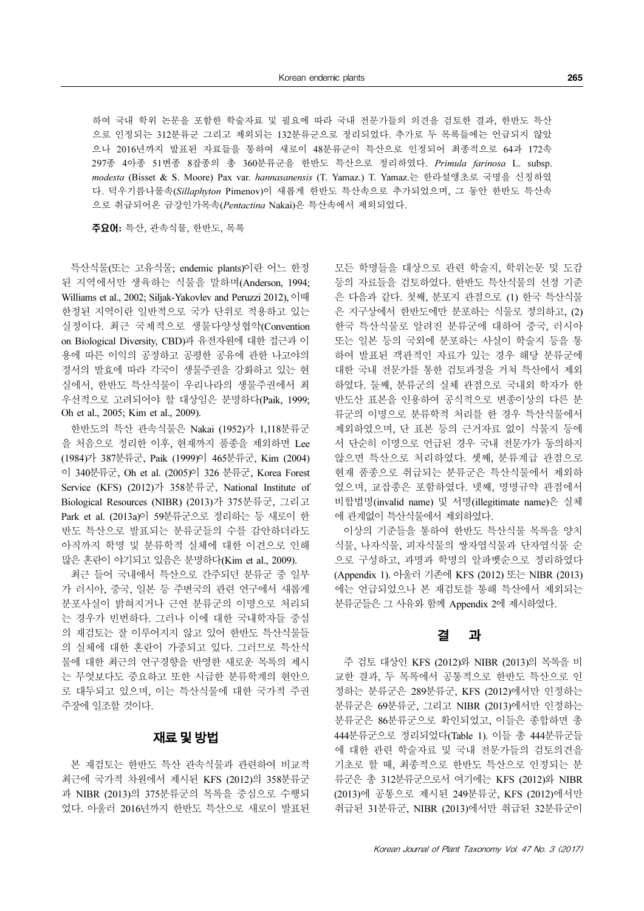하여 국내 학위 논문을 포함한 학술자료 및 필요에 따라 국내 전문가들의 의견을 검토한 결과, 한반도 특산 으로 인정되는 312분류군 그리고 제외되는 132분류군으로 정리되었다. 추가로 두 목록들에는 언급되지 않았 으나 2016년까지 발표된 자료들을 통하여 새로이 48분류군이 특산으로 인정되어 최종적으로 64과 172속 297종 4아종 51변종 8잡종의 총 360분류군을 한반도 특산으로 정리하였다. Primula farinosa L. subsp. modesta (Bisset & S. Moore) Pax var. hannasanensis (T. Yamaz.) T. Yamaz.는 한라설앵초로 국명을 신칭하였 다. 덕우기름나물속(Sillaphyton Pimenov)이 새롭게 한반도 특산속으로 추가되었으며, 그 동안 한반도 특산속 으로 취급되어온 금강인가목속(Pentactina Nakai)은 특산속에서 제외되었다.

주요어: 특산, 관속식물, 한반도, 목록

특산식물(또는 고유식물; endemic plants)이란 어느 한정 된 지역에서만 생육하는 식물을 말하며(Anderson, 1994; Williams et al., 2002; Siljak-Yakovlev and Peruzzi 2012), 이때 한정된 지역이란 일반적으로 국가 단위로 적용하고 있는 실정이다. 최근 국제적으로 생물다양성협약(Convention on Biological Diversity, CBD)과 유전자원에 대한 접근과 이 용에 따른 이익의 공정하고 공평한 공유에 관한 나고야의 정서의 발효에 따라 각국이 생물주권을 강화하고 있는 현 실에서, 한반도 특산식물이 우리나라의 생물주권에서 최 우선적으로 고려되어야 할 대상임은 분명하다(Paik, 1999; Oh et al., 2005; Kim et al., 2009).

한반도의 특산 관속식물은 Nakai (1952)가 1,118분류군 을 처음으로 정리한 이후, 현재까지 품종을 제외하면 Lee (1984)가 387분류군, Paik (1999)이 465분류군, Kim (2004) 이 340분류군, Oh et al. (2005)이 326 분류군, Korea Forest Service (KFS) (2012)가 358분류군, National Institute of Biological Resources (NIBR) (2013)가 375분류군, 그리고 Park et al. (2013a)이 59분류군으로 정리하는 등 새로이 한 반도 특산으로 발표되는 분류군들의 수를 감안하더라도 아직까지 학명 및 분류학적 실체에 대한 이견으로 인해 많은 혼란이 야기되고 있음은 분명하다(Kim et al., 2009).

최근 들어 국내에서 특산으로 간주되던 분류군 중 일부 가 러시아, 중국, 일본 등 주변국의 관련 연구에서 새롭게 분포사실이 밝혀지거나 근연 분류군의 이명으로 처리되 는 경우가 빈번하다. 그러나 이에 대한 국내학자들 중심 의 재검토는 잘 이루어지지 않고 있어 한반도 특산식물들 의 실체에 대한 혼란이 가중되고 있다. 그러므로 특산식 물에 대한 최근의 연구경향을 반영한 새로운 목록의 제시 는 무엇보다도 중요하고 또한 시급한 분류학계의 현안으 로 대두되고 있으며, 이는 특산식물에 대한 국가적 주권 주장에 일조할 것이다.

### 재료및방법

본 재검토는 한반도 특산 관속식물과 관련하여 비교적 최근에 국가적 차원에서 제시된 KFS (2012)의 358분류군 과 NIBR (2013)의 375분류군의 목록을 중심으로 수행되 었다. 아울러 2016년까지 한반도 특산으로 새로이 발표된 모든 학명들을 대상으로 관련 학술지, 학위논문 및 도감 등의 자료들을 검토하였다. 한반도 특산식물의 선정 기준 은 다음과 같다. 첫째, 분포지 관점으로 (1) 한국 특산식물 은 지구상에서 한반도에만 분포하는 식물로 정의하고, (2) 한국 특산식물로 알려진 분류군에 대하여 중국, 러시아 또는 일본 등의 국외에 분포하는 사실이 학술지 등을 통 하여 발표된 객관적인 자료가 있는 경우 해당 분류군에 대한 국내 전문가를 통한 검토과정을 거쳐 특산에서 제외 하였다. 둘째, 분류군의 실체 관점으로 국내외 학자가 한 반도산 표본을 인용하여 공식적으로 변종이상의 다른 분 류군의 이명으로 분류학적 처리를 한 경우 특산식물에서 제외하였으며, 단 표본 등의 근거자료 없이 식물지 등에 서 단순히 이명으로 언급된 경우 국내 전문가가 동의하지 않으면 특산으로 처리하였다. 셋째, 분류계급 관점으로 현재 품종으로 취급되는 분류군은 특산식물에서 제외하 였으며, 교잡종은 포함하였다. 넷째, 명명규약 관점에서 비합법명(invalid name) 및 서명(illegitimate name)은 실체 에 관계없이 특산식물에서 제외하였다.

이상의 기준들을 통하여 한반도 특산식물 목록을 양치 식물, 나자식물, 피자식물의 쌍자엽식물과 단자엽식물 순 으로 구성하고, 과명과 학명의 알파벳순으로 정리하였다 (Appendix 1). 아울러 기존에 KFS (2012) 또는 NIBR (2013) 에는 언급되었으나 본 재검토를 통해 특산에서 제외되는 분류군들은 그 사유와 함께 Appendix 2에 제시하였다.

### 결 과

주 검토 대상인 KFS (2012)와 NIBR (2013)의 목록을 비 교한 결과, 두 목록에서 공통적으로 한반도 특산으로 인 정하는 분류군은 289분류군, KFS (2012)에서만 인정하는 분류군은 69분류군, 그리고 NIBR (2013)에서만 인정하는 분류군은 86분류군으로 확인되었고, 이들은 종합하면 총 444분류군으로 정리되었다(Table 1). 이들 총 444분류군들 에 대한 관련 학술자료 및 국내 전문가들의 검토의견을 기초로 할 때, 최종적으로 한반도 특산으로 인정되는 분 류군은 총 312분류군으로서 여기에는 KFS (2012)와 NIBR (2013)에 공통으로 제시된 249분류군, KFS (2012)에서만 취급된 31분류군, NIBR (2013)에서만 취급된 32분류군이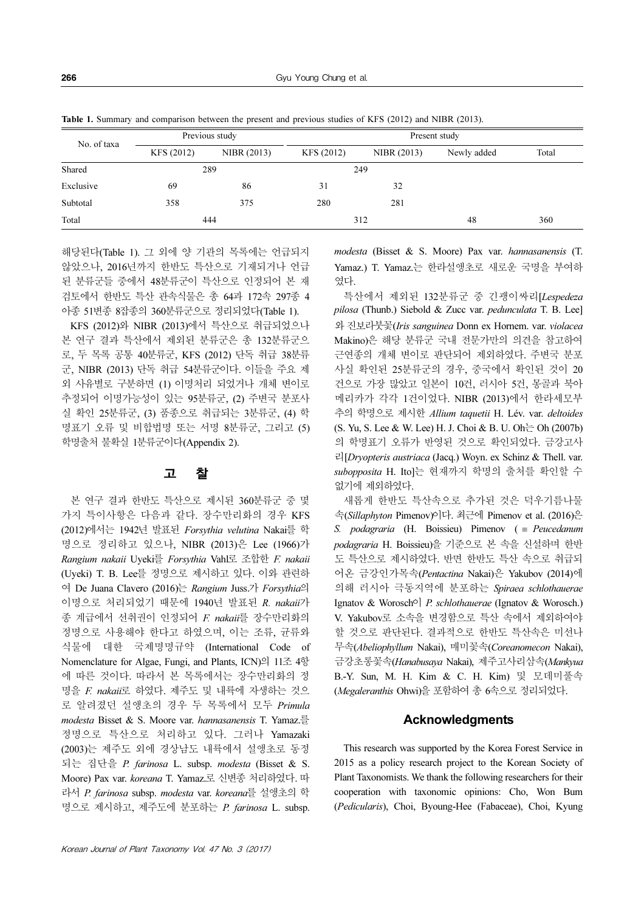Table 1. Summary and comparison between the present and previous studies of KFS (2012) and NIBR (2013).

| No. of taxa | Previous study |             | Present study |             |             |       |
|-------------|----------------|-------------|---------------|-------------|-------------|-------|
|             | KFS (2012)     | NIBR (2013) | KFS (2012)    | NIBR (2013) | Newly added | Total |
| Shared      | 289            |             | 249           |             |             |       |
| Exclusive   | 69             | 86          | 31            | 32          |             |       |
| Subtotal    | 358            | 375         | 280           | 281         |             |       |
| Total       | 444            |             | 312           |             | 48          | 360   |

해당된다(Table 1). 그 외에 양 기관의 목록에는 언급되지 않았으나, 2016년까지 한반도 특산으로 기재되거나 언급 된 분류군들 중에서 48분류군이 특산으로 인정되어 본 재 검토에서 한반도 특산 관속식물은 총 64과 172속 297종 4 아종 51변종 8잡종의 360분류군으로 정리되었다(Table 1).

KFS (2012)와 NIBR (2013)에서 특산으로 취급되었으나 본 연구 결과 특산에서 제외된 분류군은 총 132분류군으 로, 두 목록 공통 40분류군, KFS (2012) 단독 취급 38분류 군, NIBR (2013) 단독 취급 54분류군이다. 이들을 주요 제 외 사유별로 구분하면 (1) 이명처리 되었거나 개체 변이로 추정되어 이명가능성이 있는 95분류군, (2) 주변국 분포사 실 확인 25분류군, (3) 품종으로 취급되는 3분류군, (4) 학 명표기 오류 및 비합법명 또는 서명 8분류군, 그리고 (5) 학명출처 불확실 1분류군이다(Appendix 2).

### 고 찰

본 연구 결과 한반도 특산으로 제시된 360분류군 중 몇 가지 특이사항은 다음과 같다. 장수만리화의 경우 KFS (2012)에서는 1942년 발표된 Forsythia velutina Nakai를 학 명으로 정리하고 있으나, NIBR (2013)은 Lee (1966)가 Rangium nakaii Uyeki를 Forsythia Vahl로 조합한 F. nakaii (Uyeki) T. B. Lee를 정명으로 제시하고 있다. 이와 관련하 여 De Juana Clavero (2016)는 Rangium Juss.가 Forsythia의 이명으로 처리되었기 때문에 1940년 발표된 R. nakaii가 종 계급에서 선취권이 인정되어 F. nakaii를 장수만리화의 정명으로 사용해야 한다고 하였으며, 이는 조류, 균류와 식물에 대한 국제명명규약 (International Code of Nomenclature for Algae, Fungi, and Plants, ICN)의 11조 4항 에 따른 것이다. 따라서 본 목록에서는 장수만리화의 정 명을 F. nakaii로 하였다. 제주도 및 내륙에 자생하는 것으 로 알려졌던 설앵초의 경우 두 목록에서 모두 Primula modesta Bisset & S. Moore var. hannasanensis T. Yamaz.를 정명으로 특산으로 처리하고 있다. 그러나 Yamazaki (2003)는 제주도 외에 경상남도 내륙에서 설앵초로 동정 되는 집단을 P. farinosa L. subsp. modesta (Bisset & S. Moore) Pax var. koreana T. Yamaz.로 신변종 처리하였다. 따 라서 P. farinosa subsp. modesta var. koreana를 설앵초의 학 명으로 제시하고, 제주도에 분포하는 P. farinosa L. subsp.

modesta (Bisset & S. Moore) Pax var. hannasanensis (T. Yamaz.) T. Yamaz.는 한라설앵초로 새로운 국명을 부여하 였다.

특산에서 제외된 132분류군 중 긴괭이싸리[Lespedeza pilosa (Thunb.) Siebold & Zucc var. pedunculata T. B. Lee] 와 진보라붓꽃(Iris sanguinea Donn ex Hornem. var. violacea Makino)은 해당 분류군 국내 전문가만의 의견을 참고하여 근연종의 개체 변이로 판단되어 제외하였다. 주변국 분포 사실 확인된 25분류군의 경우, 중국에서 확인된 것이 20 건으로 가장 많았고 일본이 10건, 러시아 5건, 몽골과 북아 메리카가 각각 1건이었다. NIBR (2013)에서 한라세모부 추의 학명으로 제시한 Allium taquetii H. Lév. var. deltoides (S. Yu, S. Lee & W. Lee) H. J. Choi & B. U. Oh는 Oh (2007b) 의 학명표기 오류가 반영된 것으로 확인되었다. 금강고사 리[Dryopteris austriaca (Jacq.) Woyn. ex Schinz & Thell. var. subopposita H. Ito]는 현재까지 학명의 출처를 확인할 수 없기에 제외하였다.

새롭게 한반도 특산속으로 추가된 것은 덕우기름나물 속(Sillaphyton Pimenov)이다. 최근에 Pimenov et al. (2016)은 S. podagraria (H. Boissieu) Pimenov (  $\equiv$  Peucedanum podagraria H. Boissieu)을 기준으로 본 속을 신설하며 한반 도 특산으로 제시하였다. 반면 한반도 특산 속으로 취급되 어온 금강인가목속(Pentactina Nakai)은 Yakubov (2014)에 의해 러시아 극동지역에 분포하는 Spiraea schlothauerae Ignatov & Worosch<sup>o</sup> P. schlothauerae (Ignatov & Worosch.) V. Yakubov로 소속을 변경함으로 특산 속에서 제외하여야 할 것으로 판단된다. 결과적으로 한반도 특산속은 미선나 무속(Abeliophyllum Nakai), 매미꽃속(Coreanomecon Nakai), 금강초롱꽃속(Hanabusaya Nakai), 제주고사리삼속(Mankyua B.-Y. Sun, M. H. Kim & C. H. Kim) 및 모데미풀속 (Megaleranthis Ohwi)을 포함하여 총 6속으로 정리되었다.

#### **Acknowledaments**

This research was supported by the Korea Forest Service in 2015 as a policy research project to the Korean Society of Plant Taxonomists. We thank the following researchers for their cooperation with taxonomic opinions: Cho, Won Bum (Pedicularis), Choi, Byoung-Hee (Fabaceae), Choi, Kyung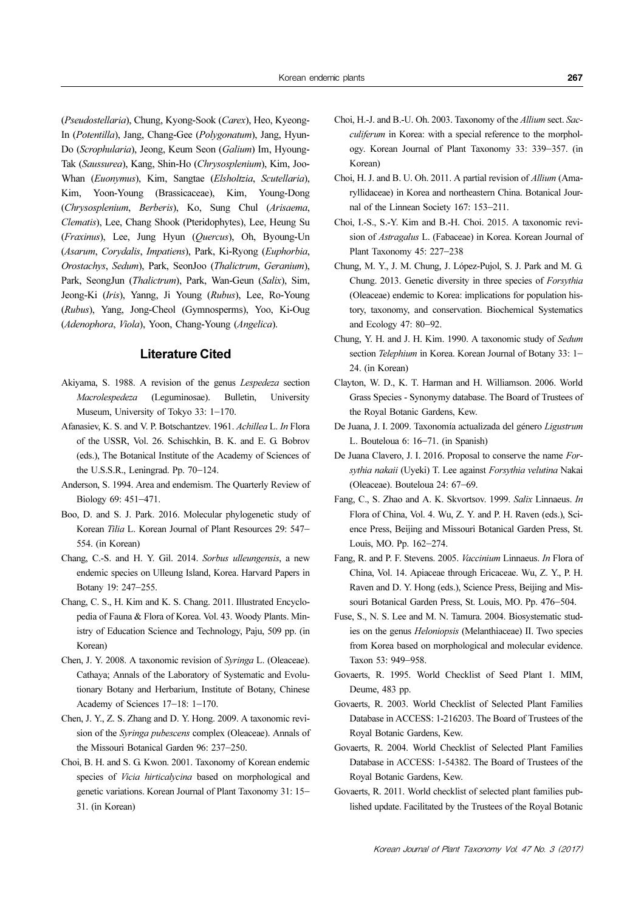(Pseudostellaria), Chung, Kyong-Sook (Carex), Heo, Kyeong-In (Potentilla), Jang, Chang-Gee (Polygonatum), Jang, Hyun-Do (Scrophularia), Jeong, Keum Seon (Galium) Im, Hyoung-Tak (Saussurea), Kang, Shin-Ho (Chrysosplenium), Kim, Joo-Whan (Euonymus), Kim, Sangtae (Elsholtzia, Scutellaria), Kim, Yoon-Young (Brassicaceae), Kim, Young-Dong (Chrysosplenium, Berberis), Ko, Sung Chul (Arisaema, Clematis), Lee, Chang Shook (Pteridophytes), Lee, Heung Su (Fraxinus), Lee, Jung Hyun (Quercus), Oh, Byoung-Un (Asarum, Corydalis, Impatiens), Park, Ki-Ryong (Euphorbia, Orostachys, Sedum), Park, SeonJoo (Thalictrum, Geranium), Park, SeongJun (Thalictrum), Park, Wan-Geun (Salix), Sim, Jeong-Ki (Iris), Yanng, Ji Young (Rubus), Lee, Ro-Young (Rubus), Yang, Jong-Cheol (Gymnosperms), Yoo, Ki-Oug (Adenophora, Viola), Yoon, Chang-Young (Angelica).

### Literature Cited

- Akiyama, S. 1988. A revision of the genus Lespedeza section Macrolespedeza (Leguminosae). Bulletin, University Museum, University of Tokyo 33: 1−170.
- Afanasiev, K. S. and V. P. Botschantzev. 1961. Achillea L. In Flora of the USSR, Vol. 26. Schischkin, B. K. and E. G. Bobrov (eds.), The Botanical Institute of the Academy of Sciences of the U.S.S.R., Leningrad. Pp. 70−124.
- Anderson, S. 1994. Area and endemism. The Quarterly Review of Biology 69: 451−471.
- Boo, D. and S. J. Park. 2016. Molecular phylogenetic study of Korean Tilia L. Korean Journal of Plant Resources 29: 547− 554. (in Korean)
- Chang, C.-S. and H. Y. Gil. 2014. Sorbus ulleungensis, a new endemic species on Ulleung Island, Korea. Harvard Papers in Botany 19: 247−255.
- Chang, C. S., H. Kim and K. S. Chang. 2011. Illustrated Encyclopedia of Fauna & Flora of Korea. Vol. 43. Woody Plants. Ministry of Education Science and Technology, Paju, 509 pp. (in Korean)
- Chen, J. Y. 2008. A taxonomic revision of Syringa L. (Oleaceae). Cathaya; Annals of the Laboratory of Systematic and Evolutionary Botany and Herbarium, Institute of Botany, Chinese Academy of Sciences 17−18: 1−170.
- Chen, J. Y., Z. S. Zhang and D. Y. Hong. 2009. A taxonomic revision of the Syringa pubescens complex (Oleaceae). Annals of the Missouri Botanical Garden 96: 237−250.
- Choi, B. H. and S. G. Kwon. 2001. Taxonomy of Korean endemic species of *Vicia hirticalycina* based on morphological and genetic variations. Korean Journal of Plant Taxonomy 31: 15− 31. (in Korean)
- Choi, H.-J. and B.-U. Oh. 2003. Taxonomy of the Allium sect. Sacculiferum in Korea: with a special reference to the morphology. Korean Journal of Plant Taxonomy 33: 339−357. (in Korean)
- Choi, H. J. and B. U. Oh. 2011. A partial revision of Allium (Amaryllidaceae) in Korea and northeastern China. Botanical Journal of the Linnean Society 167: 153−211.
- Choi, I.-S., S.-Y. Kim and B.-H. Choi. 2015. A taxonomic revision of Astragalus L. (Fabaceae) in Korea. Korean Journal of Plant Taxonomy 45: 227−238
- Chung, M. Y., J. M. Chung, J. López-Pujol, S. J. Park and M. G. Chung. 2013. Genetic diversity in three species of Forsythia (Oleaceae) endemic to Korea: implications for population history, taxonomy, and conservation. Biochemical Systematics and Ecology 47: 80−92.
- Chung, Y. H. and J. H. Kim. 1990. A taxonomic study of Sedum section Telephium in Korea. Korean Journal of Botany 33: 1− 24. (in Korean)
- Clayton, W. D., K. T. Harman and H. Williamson. 2006. World Grass Species - Synonymy database. The Board of Trustees of the Royal Botanic Gardens, Kew.
- De Juana, J. I. 2009. Taxonomía actualizada del género Ligustrum L. Bouteloua 6: 16−71. (in Spanish)
- De Juana Clavero, J. I. 2016. Proposal to conserve the name Forsythia nakaii (Uyeki) T. Lee against Forsythia velutina Nakai (Oleaceae). Bouteloua 24: 67−69.
- Fang, C., S. Zhao and A. K. Skvortsov. 1999. Salix Linnaeus. In Flora of China, Vol. 4. Wu, Z. Y. and P. H. Raven (eds.), Science Press, Beijing and Missouri Botanical Garden Press, St. Louis, MO. Pp. 162−274.
- Fang, R. and P. F. Stevens. 2005. Vaccinium Linnaeus. In Flora of China, Vol. 14. Apiaceae through Ericaceae. Wu, Z. Y., P. H. Raven and D. Y. Hong (eds.), Science Press, Beijing and Missouri Botanical Garden Press, St. Louis, MO. Pp. 476−504.
- Fuse, S., N. S. Lee and M. N. Tamura. 2004. Biosystematic studies on the genus Heloniopsis (Melanthiaceae) II. Two species from Korea based on morphological and molecular evidence. Taxon 53: 949−958.
- Govaerts, R. 1995. World Checklist of Seed Plant 1. MIM, Deume, 483 pp.
- Govaerts, R. 2003. World Checklist of Selected Plant Families Database in ACCESS: 1-216203. The Board of Trustees of the Royal Botanic Gardens, Kew.
- Govaerts, R. 2004. World Checklist of Selected Plant Families Database in ACCESS: 1-54382. The Board of Trustees of the Royal Botanic Gardens, Kew.
- Govaerts, R. 2011. World checklist of selected plant families published update. Facilitated by the Trustees of the Royal Botanic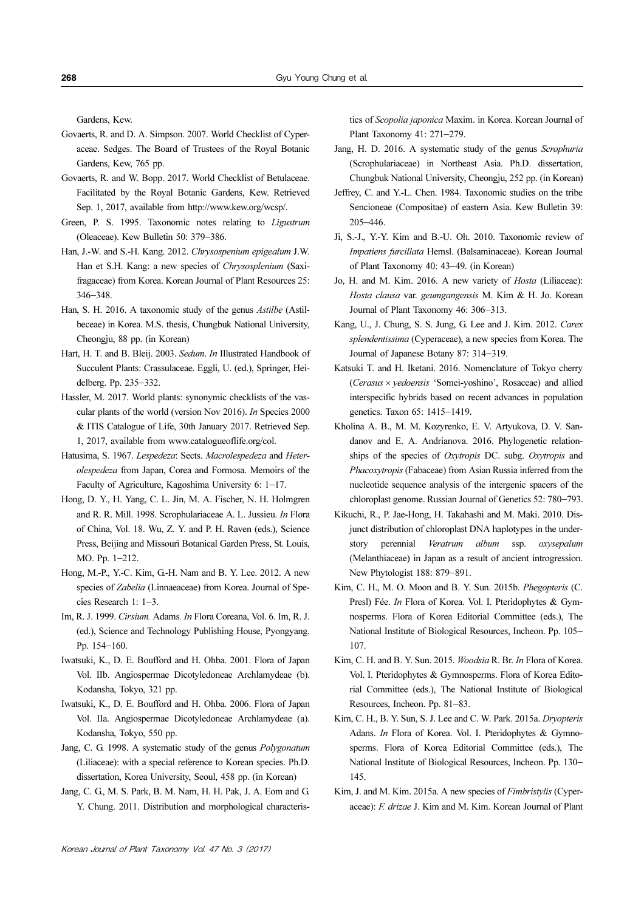Gardens, Kew.

- Govaerts, R. and D. A. Simpson. 2007. World Checklist of Cyperaceae. Sedges. The Board of Trustees of the Royal Botanic Gardens, Kew, 765 pp.
- Govaerts, R. and W. Bopp. 2017. World Checklist of Betulaceae. Facilitated by the Royal Botanic Gardens, Kew. Retrieved Sep. 1, 2017, available from http://www.kew.org/wcsp/.
- Green, P. S. 1995. Taxonomic notes relating to Ligustrum (Oleaceae). Kew Bulletin 50: 379−386.
- Han, J.-W. and S.-H. Kang. 2012. Chrysospenium epigealum J.W. Han et S.H. Kang: a new species of Chrysosplenium (Saxifragaceae) from Korea. Korean Journal of Plant Resources 25: 346−348.
- Han, S. H. 2016. A taxonomic study of the genus Astilbe (Astilbeceae) in Korea. M.S. thesis, Chungbuk National University, Cheongju, 88 pp. (in Korean)
- Hart, H. T. and B. Bleij. 2003. Sedum. In Illustrated Handbook of Succulent Plants: Crassulaceae. Eggli, U. (ed.), Springer, Heidelberg. Pp. 235−332.
- Hassler, M. 2017. World plants: synonymic checklists of the vascular plants of the world (version Nov 2016). In Species 2000 & ITIS Catalogue of Life, 30th January 2017. Retrieved Sep. 1, 2017, available from www.catalogueoflife.org/col.
- Hatusima, S. 1967. Lespedeza: Sects. Macrolespedeza and Heterolespedeza from Japan, Corea and Formosa. Memoirs of the Faculty of Agriculture, Kagoshima University 6: 1−17.
- Hong, D. Y., H. Yang, C. L. Jin, M. A. Fischer, N. H. Holmgren and R. R. Mill. 1998. Scrophulariaceae A. L. Jussieu. In Flora of China, Vol. 18. Wu, Z. Y. and P. H. Raven (eds.), Science Press, Beijing and Missouri Botanical Garden Press, St. Louis, MO. Pp. 1−212.
- Hong, M.-P., Y.-C. Kim, G.-H. Nam and B. Y. Lee. 2012. A new species of Zabelia (Linnaeaceae) from Korea. Journal of Species Research 1: 1−3.
- Im, R. J. 1999. Cirsium. Adams. In Flora Coreana, Vol. 6. Im, R. J. (ed.), Science and Technology Publishing House, Pyongyang. Pp. 154−160.
- Iwatsuki, K., D. E. Boufford and H. Ohba. 2001. Flora of Japan Vol. IIb. Angiospermae Dicotyledoneae Archlamydeae (b). Kodansha, Tokyo, 321 pp.
- Iwatsuki, K., D. E. Boufford and H. Ohba. 2006. Flora of Japan Vol. IIa. Angiospermae Dicotyledoneae Archlamydeae (a). Kodansha, Tokyo, 550 pp.
- Jang, C. G. 1998. A systematic study of the genus Polygonatum (Liliaceae): with a special reference to Korean species. Ph.D. dissertation, Korea University, Seoul, 458 pp. (in Korean)
- Jang, C. G., M. S. Park, B. M. Nam, H. H. Pak, J. A. Eom and G. Y. Chung. 2011. Distribution and morphological characteris-

tics of Scopolia japonica Maxim. in Korea. Korean Journal of Plant Taxonomy 41: 271−279.

- Jang, H. D. 2016. A systematic study of the genus Scrophuria (Scrophulariaceae) in Northeast Asia. Ph.D. dissertation, Chungbuk National University, Cheongju, 252 pp. (in Korean)
- Jeffrey, C. and Y.-L. Chen. 1984. Taxonomic studies on the tribe Sencioneae (Compositae) of eastern Asia. Kew Bulletin 39: 205−446.
- Ji, S.-J., Y.-Y. Kim and B.-U. Oh. 2010. Taxonomic review of Impatiens furcillata Hemsl. (Balsaminaceae). Korean Journal of Plant Taxonomy 40: 43−49. (in Korean)
- Jo, H. and M. Kim. 2016. A new variety of Hosta (Liliaceae): Hosta clausa var. geumgangensis M. Kim & H. Jo. Korean Journal of Plant Taxonomy 46: 306−313.
- Kang, U., J. Chung, S. S. Jung, G. Lee and J. Kim. 2012. Carex splendentissima (Cyperaceae), a new species from Korea. The Journal of Japanese Botany 87: 314−319.
- Katsuki T. and H. Iketani. 2016. Nomenclature of Tokyo cherry (Cerasus × yedoensis 'Somei-yoshino', Rosaceae) and allied interspecific hybrids based on recent advances in population genetics. Taxon 65: 1415−1419.
- Kholina A. B., M. M. Kozyrenko, E. V. Artyukova, D. V. Sandanov and E. A. Andrianova. 2016. Phylogenetic relationships of the species of Oxytropis DC. subg. Oxytropis and Phacoxytropis (Fabaceae) from Asian Russia inferred from the nucleotide sequence analysis of the intergenic spacers of the chloroplast genome. Russian Journal of Genetics 52: 780−793.
- Kikuchi, R., P. Jae-Hong, H. Takahashi and M. Maki. 2010. Disjunct distribution of chloroplast DNA haplotypes in the understory perennial Veratrum album ssp. oxysepalum (Melanthiaceae) in Japan as a result of ancient introgression. New Phytologist 188: 879−891.
- Kim, C. H., M. O. Moon and B. Y. Sun. 2015b. Phegopteris (C. Presl) Fée. In Flora of Korea. Vol. I. Pteridophytes & Gymnosperms. Flora of Korea Editorial Committee (eds.), The National Institute of Biological Resources, Incheon. Pp. 105− 107.
- Kim, C. H. and B. Y. Sun. 2015. Woodsia R. Br. In Flora of Korea. Vol. I. Pteridophytes & Gymnosperms. Flora of Korea Editorial Committee (eds.), The National Institute of Biological Resources, Incheon. Pp. 81−83.
- Kim, C. H., B. Y. Sun, S. J. Lee and C. W. Park. 2015a. Dryopteris Adans. In Flora of Korea. Vol. I. Pteridophytes & Gymnosperms. Flora of Korea Editorial Committee (eds.), The National Institute of Biological Resources, Incheon. Pp. 130− 145.
- Kim, J. and M. Kim. 2015a. A new species of Fimbristylis (Cyperaceae): F. drizae J. Kim and M. Kim. Korean Journal of Plant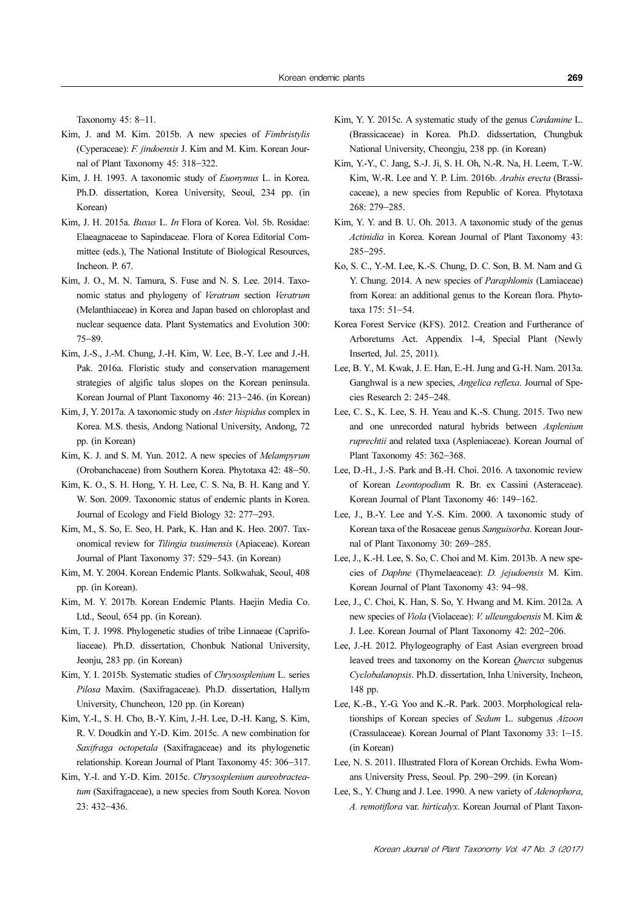Taxonomy 45: 8−11.

- Kim, J. and M. Kim. 2015b. A new species of Fimbristylis (Cyperaceae): F. jindoensis J. Kim and M. Kim. Korean Journal of Plant Taxonomy 45: 318−322.
- Kim, J. H. 1993. A taxonomic study of Euonymus L. in Korea. Ph.D. dissertation, Korea University, Seoul, 234 pp. (in Korean)
- Kim, J. H. 2015a. Buxus L. In Flora of Korea. Vol. 5b. Rosidae: Elaeagnaceae to Sapindaceae. Flora of Korea Editorial Committee (eds.), The National Institute of Biological Resources, Incheon. P. 67.
- Kim, J. O., M. N. Tamura, S. Fuse and N. S. Lee. 2014. Taxonomic status and phylogeny of Veratrum section Veratrum (Melanthiaceae) in Korea and Japan based on chloroplast and nuclear sequence data. Plant Systematics and Evolution 300: 75−89.
- Kim, J.-S., J.-M. Chung, J.-H. Kim, W. Lee, B.-Y. Lee and J.-H. Pak. 2016a. Floristic study and conservation management strategies of algific talus slopes on the Korean peninsula. Korean Journal of Plant Taxonomy 46: 213−246. (in Korean)
- Kim, J, Y. 2017a. A taxonomic study on Aster hispidus complex in Korea. M.S. thesis, Andong National University, Andong, 72 pp. (in Korean)
- Kim, K. J. and S. M. Yun. 2012. A new species of Melampyrum (Orobanchaceae) from Southern Korea. Phytotaxa 42: 48−50.
- Kim, K. O., S. H. Hong, Y. H. Lee, C. S. Na, B. H. Kang and Y. W. Son. 2009. Taxonomic status of endemic plants in Korea. Journal of Ecology and Field Biology 32: 277−293.
- Kim, M., S. So, E. Seo, H. Park, K. Han and K. Heo. 2007. Taxonomical review for Tilingia tsusimensis (Apiaceae). Korean Journal of Plant Taxonomy 37: 529−543. (in Korean)
- Kim, M. Y. 2004. Korean Endemic Plants. Solkwahak, Seoul, 408 pp. (in Korean).
- Kim, M. Y. 2017b. Korean Endemic Plants. Haejin Media Co. Ltd., Seoul, 654 pp. (in Korean).
- Kim, T. J. 1998. Phylogenetic studies of tribe Linnaeae (Caprifoliaceae). Ph.D. dissertation, Chonbuk National University, Jeonju, 283 pp. (in Korean)
- Kim, Y. I. 2015b. Systematic studies of Chrysosplenium L. series Pilosa Maxim. (Saxifragaceae). Ph.D. dissertation, Hallym University, Chuncheon, 120 pp. (in Korean)
- Kim, Y.-I., S. H. Cho, B.-Y. Kim, J.-H. Lee, D.-H. Kang, S. Kim, R. V. Doudkin and Y.-D. Kim. 2015c. A new combination for Saxifraga octopetala (Saxifragaceae) and its phylogenetic relationship. Korean Journal of Plant Taxonomy 45: 306−317.
- Kim, Y.-I. and Y.-D. Kim. 2015c. Chrysosplenium aureobracteatum (Saxifragaceae), a new species from South Korea. Novon 23: 432−436.
- Kim, Y. Y. 2015c. A systematic study of the genus *Cardamine L*. (Brassicaceae) in Korea. Ph.D. didssertation, Chungbuk National University, Cheongju, 238 pp. (in Korean)
- Kim, Y.-Y., C. Jang, S.-J. Ji, S. H. Oh, N.-R. Na, H. Leem, T.-W. Kim, W.-R. Lee and Y. P. Lim. 2016b. Arabis erecta (Brassicaceae), a new species from Republic of Korea. Phytotaxa 268: 279−285.
- Kim, Y. Y. and B. U. Oh. 2013. A taxonomic study of the genus Actinidia in Korea. Korean Journal of Plant Taxonomy 43: 285−295.
- Ko, S. C., Y.-M. Lee, K.-S. Chung, D. C. Son, B. M. Nam and G. Y. Chung. 2014. A new species of *Paraphlomis* (Lamiaceae) from Korea: an additional genus to the Korean flora. Phytotaxa 175: 51−54.
- Korea Forest Service (KFS). 2012. Creation and Furtherance of Arboretums Act. Appendix 1-4, Special Plant (Newly Inserted, Jul. 25, 2011).
- Lee, B. Y., M. Kwak, J. E. Han, E.-H. Jung and G.-H. Nam. 2013a. Ganghwal is a new species, Angelica reflexa. Journal of Species Research 2: 245−248.
- Lee, C. S., K. Lee, S. H. Yeau and K.-S. Chung. 2015. Two new and one unrecorded natural hybrids between Asplenium ruprechtii and related taxa (Aspleniaceae). Korean Journal of Plant Taxonomy 45: 362−368.
- Lee, D.-H., J.-S. Park and B.-H. Choi. 2016. A taxonomic review of Korean Leontopodium R. Br. ex Cassini (Asteraceae). Korean Journal of Plant Taxonomy 46: 149−162.
- Lee, J., B.-Y. Lee and Y.-S. Kim. 2000. A taxonomic study of Korean taxa of the Rosaceae genus Sanguisorba. Korean Journal of Plant Taxonomy 30: 269−285.
- Lee, J., K.-H. Lee, S. So, C. Choi and M. Kim. 2013b. A new species of Daphne (Thymelaeaceae): D. jejudoensis M. Kim. Korean Journal of Plant Taxonomy 43: 94−98.
- Lee, J., C. Choi, K. Han, S. So, Y. Hwang and M. Kim. 2012a. A new species of Viola (Violaceae): V. ulleungdoensis M. Kim & J. Lee. Korean Journal of Plant Taxonomy 42: 202−206.
- Lee, J.-H. 2012. Phylogeography of East Asian evergreen broad leaved trees and taxonomy on the Korean Quercus subgenus Cyclobalanopsis. Ph.D. dissertation, Inha University, Incheon, 148 pp.
- Lee, K.-B., Y.-G. Yoo and K.-R. Park. 2003. Morphological relationships of Korean species of Sedum L. subgenus Aizoon (Crassulaceae). Korean Journal of Plant Taxonomy 33: 1−15. (in Korean)
- Lee, N. S. 2011. Illustrated Flora of Korean Orchids. Ewha Womans University Press, Seoul. Pp. 290−299. (in Korean)
- Lee, S., Y. Chung and J. Lee. 1990. A new variety of Adenophora, A. remotiflora var. hirticalyx. Korean Journal of Plant Taxon-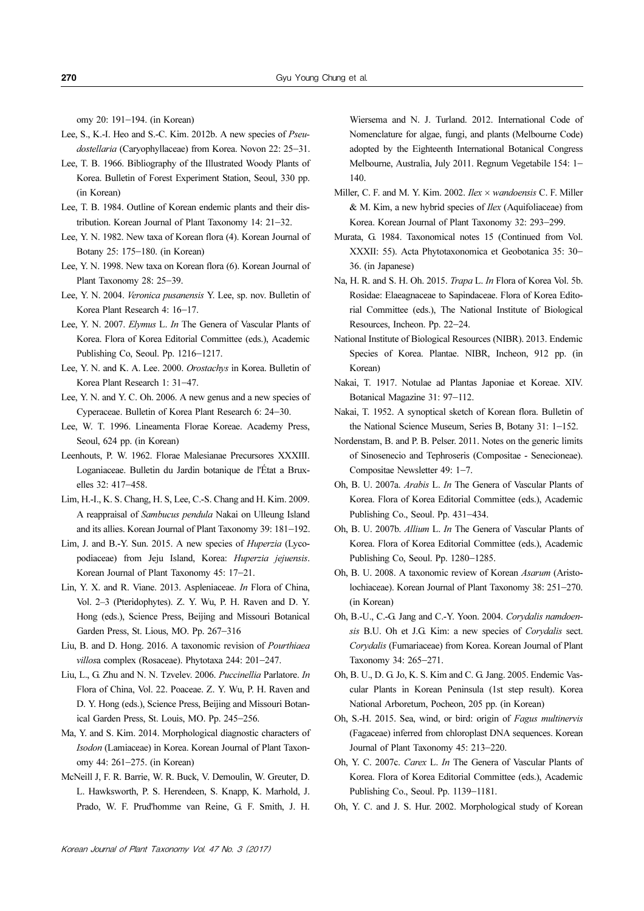omy 20: 191−194. (in Korean)

- Lee, S., K.-I. Heo and S.-C. Kim. 2012b. A new species of Pseudostellaria (Caryophyllaceae) from Korea. Novon 22: 25−31.
- Lee, T. B. 1966. Bibliography of the Illustrated Woody Plants of Korea. Bulletin of Forest Experiment Station, Seoul, 330 pp. (in Korean)
- Lee, T. B. 1984. Outline of Korean endemic plants and their distribution. Korean Journal of Plant Taxonomy 14: 21−32.
- Lee, Y. N. 1982. New taxa of Korean flora (4). Korean Journal of Botany 25: 175−180. (in Korean)
- Lee, Y. N. 1998. New taxa on Korean flora (6). Korean Journal of Plant Taxonomy 28: 25−39.
- Lee, Y. N. 2004. Veronica pusanensis Y. Lee, sp. nov. Bulletin of Korea Plant Research 4: 16−17.
- Lee, Y. N. 2007. Elymus L. In The Genera of Vascular Plants of Korea. Flora of Korea Editorial Committee (eds.), Academic Publishing Co, Seoul. Pp. 1216−1217.
- Lee, Y. N. and K. A. Lee. 2000. Orostachys in Korea. Bulletin of Korea Plant Research 1: 31−47.
- Lee, Y. N. and Y. C. Oh. 2006. A new genus and a new species of Cyperaceae. Bulletin of Korea Plant Research 6: 24−30.
- Lee, W. T. 1996. Lineamenta Florae Koreae. Academy Press, Seoul, 624 pp. (in Korean)
- Leenhouts, P. W. 1962. Florae Malesianae Precursores XXXIII. Loganiaceae. Bulletin du Jardin botanique de l'État a Bruxelles 32: 417−458.
- Lim, H.-I., K. S. Chang, H. S, Lee, C.-S. Chang and H. Kim. 2009. A reappraisal of Sambucus pendula Nakai on Ulleung Island and its allies. Korean Journal of Plant Taxonomy 39: 181−192.
- Lim, J. and B.-Y. Sun. 2015. A new species of Huperzia (Lycopodiaceae) from Jeju Island, Korea: Huperzia jejuensis. Korean Journal of Plant Taxonomy 45: 17−21.
- Lin, Y. X. and R. Viane. 2013. Aspleniaceae. In Flora of China, Vol. 2–3 (Pteridophytes). Z. Y. Wu, P. H. Raven and D. Y. Hong (eds.), Science Press, Beijing and Missouri Botanical Garden Press, St. Lious, MO. Pp. 267−316
- Liu, B. and D. Hong. 2016. A taxonomic revision of Pourthiaea villosa complex (Rosaceae). Phytotaxa 244: 201−247.
- Liu, L., G. Zhu and N. N. Tzvelev. 2006. Puccinellia Parlatore. In Flora of China, Vol. 22. Poaceae. Z. Y. Wu, P. H. Raven and D. Y. Hong (eds.), Science Press, Beijing and Missouri Botanical Garden Press, St. Louis, MO. Pp. 245−256.
- Ma, Y. and S. Kim. 2014. Morphological diagnostic characters of Isodon (Lamiaceae) in Korea. Korean Journal of Plant Taxonomy 44: 261−275. (in Korean)
- McNeill J, F. R. Barrie, W. R. Buck, V. Demoulin, W. Greuter, D. L. Hawksworth, P. S. Herendeen, S. Knapp, K. Marhold, J. Prado, W. F. Prud'homme van Reine, G. F. Smith, J. H.

Wiersema and N. J. Turland. 2012. International Code of Nomenclature for algae, fungi, and plants (Melbourne Code) adopted by the Eighteenth International Botanical Congress Melbourne, Australia, July 2011. Regnum Vegetabile 154: 1− 140.

- Miller, C. F. and M. Y. Kim. 2002. *Ilex × wandoensis* C. F. Miller & M. Kim, a new hybrid species of Ilex (Aquifoliaceae) from Korea. Korean Journal of Plant Taxonomy 32: 293−299.
- Murata, G. 1984. Taxonomical notes 15 (Continued from Vol. XXXII: 55). Acta Phytotaxonomica et Geobotanica 35: 30− 36. (in Japanese)
- Na, H. R. and S. H. Oh. 2015. Trapa L. In Flora of Korea Vol. 5b. Rosidae: Elaeagnaceae to Sapindaceae. Flora of Korea Editorial Committee (eds.), The National Institute of Biological Resources, Incheon. Pp. 22−24.
- National Institute of Biological Resources (NIBR). 2013. Endemic Species of Korea. Plantae. NIBR, Incheon, 912 pp. (in Korean)
- Nakai, T. 1917. Notulae ad Plantas Japoniae et Koreae. XIV. Botanical Magazine 31: 97−112.
- Nakai, T. 1952. A synoptical sketch of Korean flora. Bulletin of the National Science Museum, Series B, Botany 31: 1−152.
- Nordenstam, B. and P. B. Pelser. 2011. Notes on the generic limits of Sinosenecio and Tephroseris (Compositae - Senecioneae). Compositae Newsletter 49: 1−7.
- Oh, B. U. 2007a. Arabis L. In The Genera of Vascular Plants of Korea. Flora of Korea Editorial Committee (eds.), Academic Publishing Co., Seoul. Pp. 431−434.
- Oh, B. U. 2007b. Allium L. In The Genera of Vascular Plants of Korea. Flora of Korea Editorial Committee (eds.), Academic Publishing Co, Seoul. Pp. 1280−1285.
- Oh, B. U. 2008. A taxonomic review of Korean Asarum (Aristolochiaceae). Korean Journal of Plant Taxonomy 38: 251−270. (in Korean)
- Oh, B.-U., C.-G. Jang and C.-Y. Yoon. 2004. Corydalis namdoensis B.U. Oh et J.G. Kim: a new species of Corydalis sect. Corydalis (Fumariaceae) from Korea. Korean Journal of Plant Taxonomy 34: 265−271.
- Oh, B. U., D. G. Jo, K. S. Kim and C. G. Jang. 2005. Endemic Vascular Plants in Korean Peninsula (1st step result). Korea National Arboretum, Pocheon, 205 pp. (in Korean)
- Oh, S.-H. 2015. Sea, wind, or bird: origin of Fagus multinervis (Fagaceae) inferred from chloroplast DNA sequences. Korean Journal of Plant Taxonomy 45: 213−220.
- Oh, Y. C. 2007c. Carex L. In The Genera of Vascular Plants of Korea. Flora of Korea Editorial Committee (eds.), Academic Publishing Co., Seoul. Pp. 1139−1181.
- Oh, Y. C. and J. S. Hur. 2002. Morphological study of Korean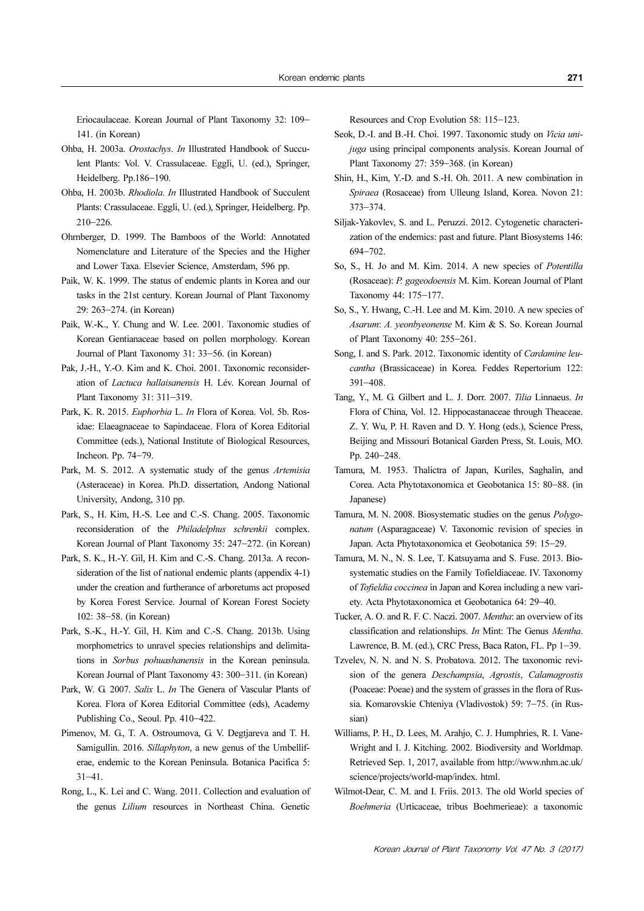Eriocaulaceae. Korean Journal of Plant Taxonomy 32: 109− 141. (in Korean)

- Ohba, H. 2003a. Orostachys. In Illustrated Handbook of Succulent Plants: Vol. V. Crassulaceae. Eggli, U. (ed.), Springer, Heidelberg. Pp.186−190.
- Ohba, H. 2003b. Rhodiola. In Illustrated Handbook of Succulent Plants: Crassulaceae. Eggli, U. (ed.), Springer, Heidelberg. Pp. 210−226.
- Ohrnberger, D. 1999. The Bamboos of the World: Annotated Nomenclature and Literature of the Species and the Higher and Lower Taxa. Elsevier Science, Amsterdam, 596 pp.
- Paik, W. K. 1999. The status of endemic plants in Korea and our tasks in the 21st century. Korean Journal of Plant Taxonomy 29: 263−274. (in Korean)
- Paik, W.-K., Y. Chung and W. Lee. 2001. Taxonomic studies of Korean Gentianaceae based on pollen morphology. Korean Journal of Plant Taxonomy 31: 33−56. (in Korean)
- Pak, J.-H., Y.-O. Kim and K. Choi. 2001. Taxonomic reconsideration of Lactuca hallaisanensis H. Lév. Korean Journal of Plant Taxonomy 31: 311−319.
- Park, K. R. 2015. Euphorbia L. In Flora of Korea. Vol. 5b. Rosidae: Elaeagnaceae to Sapindaceae. Flora of Korea Editorial Committee (eds.), National Institute of Biological Resources, Incheon. Pp. 74−79.
- Park, M. S. 2012. A systematic study of the genus *Artemisia* (Asteraceae) in Korea. Ph.D. dissertation, Andong National University, Andong, 310 pp.
- Park, S., H. Kim, H.-S. Lee and C.-S. Chang. 2005. Taxonomic reconsideration of the Philadelphus schrenkii complex. Korean Journal of Plant Taxonomy 35: 247−272. (in Korean)
- Park, S. K., H.-Y. Gil, H. Kim and C.-S. Chang. 2013a. A reconsideration of the list of national endemic plants (appendix 4-1) under the creation and furtherance of arboretums act proposed by Korea Forest Service. Journal of Korean Forest Society 102: 38−58. (in Korean)
- Park, S.-K., H.-Y. Gil, H. Kim and C.-S. Chang. 2013b. Using morphometrics to unravel species relationships and delimitations in Sorbus pohuashanensis in the Korean peninsula. Korean Journal of Plant Taxonomy 43: 300−311. (in Korean)
- Park, W. G. 2007. Salix L. In The Genera of Vascular Plants of Korea. Flora of Korea Editorial Committee (eds), Academy Publishing Co., Seoul. Pp. 410−422.
- Pimenov, M. G., T. A. Ostroumova, G. V. Degtjareva and T. H. Samigullin. 2016. Sillaphyton, a new genus of the Umbelliferae, endemic to the Korean Peninsula. Botanica Pacifica 5: 31−41.
- Rong, L., K. Lei and C. Wang. 2011. Collection and evaluation of the genus Lilium resources in Northeast China. Genetic

Resources and Crop Evolution 58: 115−123.

- Seok, D.-I. and B.-H. Choi. 1997. Taxonomic study on Vicia unijuga using principal components analysis. Korean Journal of Plant Taxonomy 27: 359−368. (in Korean)
- Shin, H., Kim, Y.-D. and S.-H. Oh. 2011. A new combination in Spiraea (Rosaceae) from Ulleung Island, Korea. Novon 21: 373−374.
- Siljak-Yakovlev, S. and L. Peruzzi. 2012. Cytogenetic characterization of the endemics: past and future. Plant Biosystems 146: 694−702.
- So, S., H. Jo and M. Kim. 2014. A new species of Potentilla (Rosaceae): P. gageodoensis M. Kim. Korean Journal of Plant Taxonomy 44: 175−177.
- So, S., Y. Hwang, C.-H. Lee and M. Kim. 2010. A new species of Asarum: A. yeonbyeonense M. Kim & S. So. Korean Journal of Plant Taxonomy 40: 255−261.
- Song, I. and S. Park. 2012. Taxonomic identity of Cardamine leucantha (Brassicaceae) in Korea. Feddes Repertorium 122: 391−408.
- Tang, Y., M. G. Gilbert and L. J. Dorr. 2007. Tilia Linnaeus. In Flora of China, Vol. 12. Hippocastanaceae through Theaceae. Z. Y. Wu, P. H. Raven and D. Y. Hong (eds.), Science Press, Beijing and Missouri Botanical Garden Press, St. Louis, MO. Pp. 240−248.
- Tamura, M. 1953. Thalictra of Japan, Kuriles, Saghalin, and Corea. Acta Phytotaxonomica et Geobotanica 15: 80−88. (in Japanese)
- Tamura, M. N. 2008. Biosystematic studies on the genus Polygonatum (Asparagaceae) V. Taxonomic revision of species in Japan. Acta Phytotaxonomica et Geobotanica 59: 15−29.
- Tamura, M. N., N. S. Lee, T. Katsuyama and S. Fuse. 2013. Biosystematic studies on the Family Tofieldiaceae. IV. Taxonomy of Tofieldia coccinea in Japan and Korea including a new variety. Acta Phytotaxonomica et Geobotanica 64: 29−40.
- Tucker, A. O. and R. F. C. Naczi. 2007. Mentha: an overview of its classification and relationships. In Mint: The Genus Mentha. Lawrence, B. M. (ed.), CRC Press, Baca Raton, FL. Pp 1−39.
- Tzvelev, N. N. and N. S. Probatova. 2012. The taxonomic revision of the genera Deschampsia, Agrostis, Calamagrostis (Poaceae: Poeae) and the system of grasses in the flora of Russia. Komarovskie Chteniya (Vladivostok) 59: 7−75. (in Russian)
- Williams, P. H., D. Lees, M. Arahjo, C. J. Humphries, R. I. Vane-Wright and I. J. Kitching. 2002. Biodiversity and Worldmap. Retrieved Sep. 1, 2017, available from http://www.nhm.ac.uk/ science/projects/world-map/index. html.
- Wilmot-Dear, C. M. and I. Friis. 2013. The old World species of Boehmeria (Urticaceae, tribus Boehmerieae): a taxonomic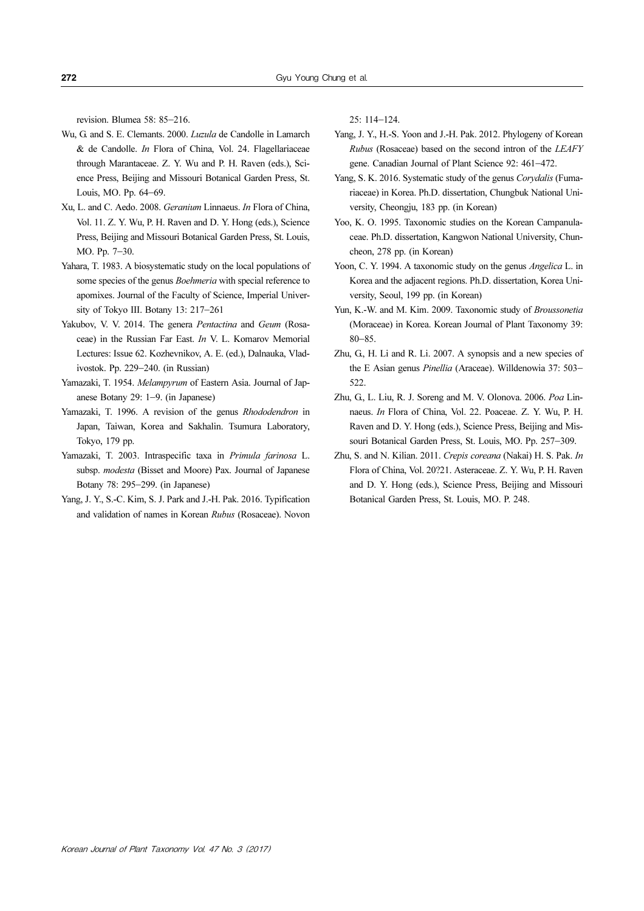revision. Blumea 58: 85−216.

- Wu, G. and S. E. Clemants. 2000. Luzula de Candolle in Lamarch & de Candolle. In Flora of China, Vol. 24. Flagellariaceae through Marantaceae. Z. Y. Wu and P. H. Raven (eds.), Science Press, Beijing and Missouri Botanical Garden Press, St. Louis, MO. Pp. 64−69.
- Xu, L. and C. Aedo. 2008. Geranium Linnaeus. In Flora of China, Vol. 11. Z. Y. Wu, P. H. Raven and D. Y. Hong (eds.), Science Press, Beijing and Missouri Botanical Garden Press, St. Louis, MO. Pp. 7−30.
- Yahara, T. 1983. A biosystematic study on the local populations of some species of the genus *Boehmeria* with special reference to apomixes. Journal of the Faculty of Science, Imperial University of Tokyo III. Botany 13: 217−261
- Yakubov, V. V. 2014. The genera Pentactina and Geum (Rosaceae) in the Russian Far East. In V. L. Komarov Memorial Lectures: Issue 62. Kozhevnikov, A. E. (ed.), Dalnauka, Vladivostok. Pp. 229−240. (in Russian)
- Yamazaki, T. 1954. Melampyrum of Eastern Asia. Journal of Japanese Botany 29: 1−9. (in Japanese)
- Yamazaki, T. 1996. A revision of the genus Rhododendron in Japan, Taiwan, Korea and Sakhalin. Tsumura Laboratory, Tokyo, 179 pp.
- Yamazaki, T. 2003. Intraspecific taxa in Primula farinosa L. subsp. modesta (Bisset and Moore) Pax. Journal of Japanese Botany 78: 295−299. (in Japanese)
- Yang, J. Y., S.-C. Kim, S. J. Park and J.-H. Pak. 2016. Typification and validation of names in Korean Rubus (Rosaceae). Novon

25: 114−124.

- Yang, J. Y., H.-S. Yoon and J.-H. Pak. 2012. Phylogeny of Korean Rubus (Rosaceae) based on the second intron of the LEAFY gene. Canadian Journal of Plant Science 92: 461−472.
- Yang, S. K. 2016. Systematic study of the genus Corydalis (Fumariaceae) in Korea. Ph.D. dissertation, Chungbuk National University, Cheongju, 183 pp. (in Korean)
- Yoo, K. O. 1995. Taxonomic studies on the Korean Campanulaceae. Ph.D. dissertation, Kangwon National University, Chuncheon, 278 pp. (in Korean)
- Yoon, C. Y. 1994. A taxonomic study on the genus Angelica L. in Korea and the adjacent regions. Ph.D. dissertation, Korea University, Seoul, 199 pp. (in Korean)
- Yun, K.-W. and M. Kim. 2009. Taxonomic study of Broussonetia (Moraceae) in Korea. Korean Journal of Plant Taxonomy 39: 80−85.
- Zhu, G., H. Li and R. Li. 2007. A synopsis and a new species of the E Asian genus Pinellia (Araceae). Willdenowia 37: 503− 522
- Zhu, G., L. Liu, R. J. Soreng and M. V. Olonova. 2006. Poa Linnaeus. In Flora of China, Vol. 22. Poaceae. Z. Y. Wu, P. H. Raven and D. Y. Hong (eds.), Science Press, Beijing and Missouri Botanical Garden Press, St. Louis, MO. Pp. 257−309.
- Zhu, S. and N. Kilian. 2011. Crepis coreana (Nakai) H. S. Pak. In Flora of China, Vol. 20?21. Asteraceae. Z. Y. Wu, P. H. Raven and D. Y. Hong (eds.), Science Press, Beijing and Missouri Botanical Garden Press, St. Louis, MO. P. 248.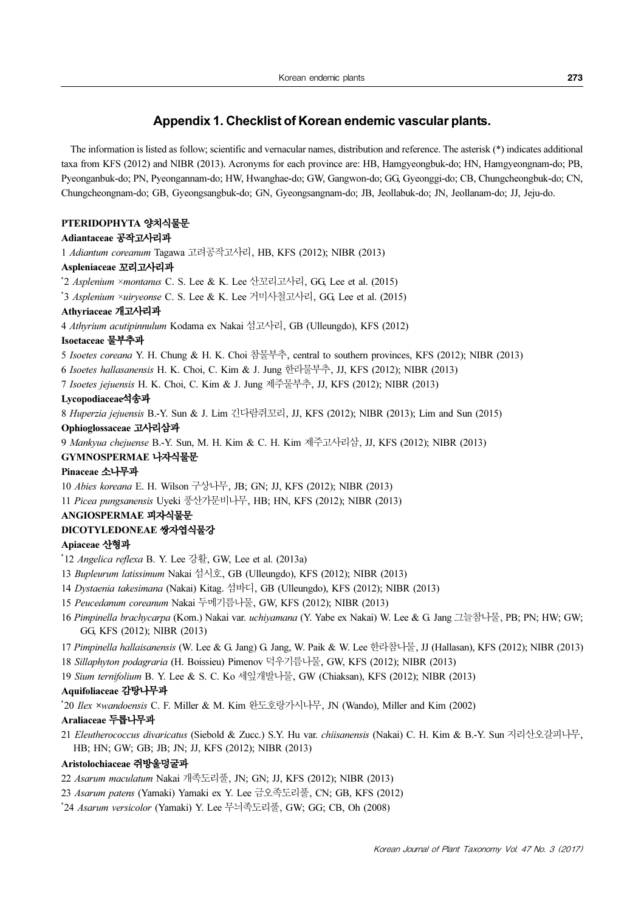### Appendix 1. Checklist of Korean endemic vascular plants.

The information is listed as follow; scientific and vernacular names, distribution and reference. The asterisk (\*) indicates additional taxa from KFS (2012) and NIBR (2013). Acronyms for each province are: HB, Hamgyeongbuk-do; HN, Hamgyeongnam-do; PB, Pyeonganbuk-do; PN, Pyeongannam-do; HW, Hwanghae-do; GW, Gangwon-do; GG, Gyeonggi-do; CB, Chungcheongbuk-do; CN, Chungcheongnam-do; GB, Gyeongsangbuk-do; GN, Gyeongsangnam-do; JB, Jeollabuk-do; JN, Jeollanam-do; JJ, Jeju-do.

### PTERIDOPHYTA 양치식물문

### Adiantaceae 공작고사리과

1 Adiantum coreanum Tagawa 고려공작고사리, HB, KFS (2012); NIBR (2013)

### Aspleniaceae 꼬리고사리과

\* 2 Asplenium ×montanus C. S. Lee & K. Lee 산꼬리고사리, GG, Lee et al. (2015)

\* 3 Asplenium ×uiryeonse C. S. Lee & K. Lee 거미사철고사리, GG, Lee et al. (2015)

### Athyriaceae 개고사리과

4 Athyrium acutipinnulum Kodama ex Nakai 섬고사리, GB (Ulleungdo), KFS (2012)

#### Isoetaceae 물부추과

5 Isoetes coreana Y. H. Chung & H. K. Choi 참물부추, central to southern provinces, KFS (2012); NIBR (2013)

6 Isoetes hallasanensis H. K. Choi, C. Kim & J. Jung 한라물부추, JJ, KFS (2012); NIBR (2013)

7 Isoetes jejuensis H. K. Choi, C. Kim & J. Jung 제주물부추, JJ, KFS (2012); NIBR (2013)

### Lycopodiaceae석송과

8 Huperzia jejuensis B.-Y. Sun & J. Lim 긴다람쥐꼬리, JJ, KFS (2012); NIBR (2013); Lim and Sun (2015)

#### Ophioglossaceae 고사리삼과

9 Mankyua chejuense B.-Y. Sun, M. H. Kim & C. H. Kim 제주고사리삼, JJ, KFS (2012); NIBR (2013)

#### GYMNOSPERMAE 나자식물문

### Pinaceae 소나무과

10 Abies koreana E. H. Wilson 구상나무, JB; GN; JJ, KFS (2012); NIBR (2013)

11 Picea pungsanensis Uyeki 풍산가문비나무, HB; HN, KFS (2012); NIBR (2013)

### ANGIOSPERMAE 피자식물문

### DICOTYLEDONEAE 쌍자엽식물강

### Apiaceae 산형과

- \* 12 Angelica reflexa B. Y. Lee 강활, GW, Lee et al. (2013a)
- 13 Bupleurum latissimum Nakai 섬시호, GB (Ulleungdo), KFS (2012); NIBR (2013)
- 14 Dystaenia takesimana (Nakai) Kitag. 섬바디, GB (Ulleungdo), KFS (2012); NIBR (2013)
- 15 Peucedanum coreanum Nakai 두메기름나물, GW, KFS (2012); NIBR (2013)
- 16 Pimpinella brachycarpa (Kom.) Nakai var. uchiyamana (Y. Yabe ex Nakai) W. Lee & G. Jang 그늘참나물, PB; PN; HW; GW; GG, KFS (2012); NIBR (2013)
- 17 Pimpinella hallaisanensis (W. Lee & G. Jang) G. Jang, W. Paik & W. Lee 한라참나물, JJ (Hallasan), KFS (2012); NIBR (2013)
- 18 Sillaphyton podagraria (H. Boissieu) Pimenov 덕우기름나물, GW, KFS (2012); NIBR (2013)
- 19 Sium ternifolium B. Y. Lee & S. C. Ko 세잎개발나물, GW (Chiaksan), KFS (2012); NIBR (2013)

### Aquifoliaceae 감탕나무과

\* 20 Ilex ×wandoensis C. F. Miller & M. Kim 완도호랑가시나무, JN (Wando), Miller and Kim (2002)

### Araliaceae 두릅나무과

21 Eleutherococcus divaricatus (Siebold & Zucc.) S.Y. Hu var. chiisanensis (Nakai) C. H. Kim & B.-Y. Sun 지리산오갈피나무, HB; HN; GW; GB; JB; JN; JJ, KFS (2012); NIBR (2013)

### Aristolochiaceae 쥐방울덩굴과

- 22 Asarum maculatum Nakai 개족도리풀, JN; GN; JJ, KFS (2012); NIBR (2013)
- 23 Asarum patens (Yamaki) Yamaki ex Y. Lee 금오족도리풀, CN; GB, KFS (2012)
- \* 24 Asarum versicolor (Yamaki) Y. Lee 무늬족도리풀, GW; GG; CB, Oh (2008)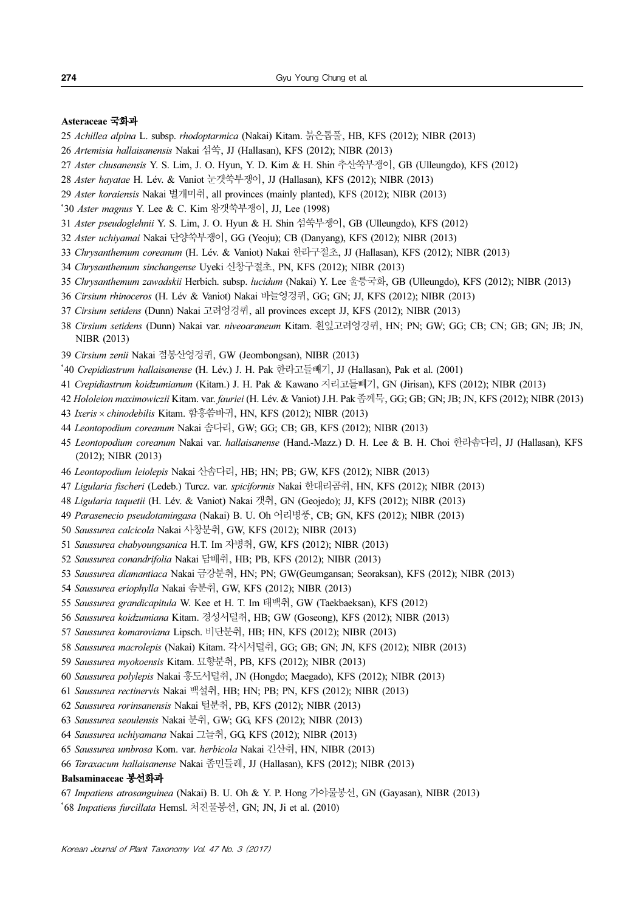#### Asteraceae 국화과

- Achillea alpina L. subsp. rhodoptarmica (Nakai) Kitam. 붉은톱풀, HB, KFS (2012); NIBR (2013)
- Artemisia hallaisanensis Nakai 섬쑥, JJ (Hallasan), KFS (2012); NIBR (2013)
- Aster chusanensis Y. S. Lim, J. O. Hyun, Y. D. Kim & H. Shin 추산쑥부쟁이, GB (Ulleungdo), KFS (2012)
- Aster hayatae H. Lév. & Vaniot 눈갯쑥부쟁이, JJ (Hallasan), KFS (2012); NIBR (2013)
- Aster koraiensis Nakai 벌개미취, all provinces (mainly planted), KFS (2012); NIBR (2013)
- \* 30 Aster magnus Y. Lee & C. Kim 왕갯쑥부쟁이, JJ, Lee (1998)
- Aster pseudoglehnii Y. S. Lim, J. O. Hyun & H. Shin 섬쑥부쟁이, GB (Ulleungdo), KFS (2012)
- Aster uchiyamai Nakai 단양쑥부쟁이, GG (Yeoju); CB (Danyang), KFS (2012); NIBR (2013)
- Chrysanthemum coreanum (H. Lév. & Vaniot) Nakai 한라구절초, JJ (Hallasan), KFS (2012); NIBR (2013)
- Chrysanthemum sinchangense Uyeki 신창구절초, PN, KFS (2012); NIBR (2013)
- Chrysanthemum zawadskii Herbich. subsp. lucidum (Nakai) Y. Lee 울릉국화, GB (Ulleungdo), KFS (2012); NIBR (2013)
- Cirsium rhinoceros (H. Lév & Vaniot) Nakai 바늘엉겅퀴, GG; GN; JJ, KFS (2012); NIBR (2013)
- Cirsium setidens (Dunn) Nakai 고려엉겅퀴, all provinces except JJ, KFS (2012); NIBR (2013)
- Cirsium setidens (Dunn) Nakai var. niveoaraneum Kitam. 흰잎고려엉겅퀴, HN; PN; GW; GG; CB; CN; GB; GN; JB; JN, NIBR (2013)
- Cirsium zenii Nakai 점봉산엉겅퀴, GW (Jeombongsan), NIBR (2013)
- \* 40 Crepidiastrum hallaisanense (H. Lév.) J. H. Pak 한라고들빼기, JJ (Hallasan), Pak et al. (2001)
- Crepidiastrum koidzumianum (Kitam.) J. H. Pak & Kawano 지리고들빼기, GN (Jirisan), KFS (2012); NIBR (2013)
- Hololeion maximowiczii Kitam. var. fauriei (H. Lév. & Vaniot) J.H. Pak 좀께묵, GG; GB; GN; JB; JN, KFS (2012); NIBR (2013)
- Ixeris × chinodebilis Kitam. 함흥씀바귀, HN, KFS (2012); NIBR (2013)
- Leontopodium coreanum Nakai 솜다리, GW; GG; CB; GB, KFS (2012); NIBR (2013)
- 45 Leontopodium coreanum Nakai var. hallaisanense (Hand.-Mazz.) D. H. Lee & B. H. Choi 한라솜다리, JJ (Hallasan), KFS (2012); NIBR (2013)
- Leontopodium leiolepis Nakai 산솜다리, HB; HN; PB; GW, KFS (2012); NIBR (2013)
- Ligularia fischeri (Ledeb.) Turcz. var. spiciformis Nakai 한대리곰취, HN, KFS (2012); NIBR (2013)
- Ligularia taquetii (H. Lév. & Vaniot) Nakai 갯취, GN (Geojedo); JJ, KFS (2012); NIBR (2013)
- Parasenecio pseudotamingasa (Nakai) B. U. Oh 어리병풍, CB; GN, KFS (2012); NIBR (2013)
- Saussurea calcicola Nakai 사창분취, GW, KFS (2012); NIBR (2013)
- Saussurea chabyoungsanica H.T. Im 자병취, GW, KFS (2012); NIBR (2013)
- Saussurea conandrifolia Nakai 담배취, HB; PB, KFS (2012); NIBR (2013)
- Saussurea diamantiaca Nakai 금강분취, HN; PN; GW(Geumgansan; Seoraksan), KFS (2012); NIBR (2013)
- Saussurea eriophylla Nakai 솜분취, GW, KFS (2012); NIBR (2013)
- Saussurea grandicapitula W. Kee et H. T. Im 태백취, GW (Taekbaeksan), KFS (2012)
- Saussurea koidzumiana Kitam. 경성서덜취, HB; GW (Goseong), KFS (2012); NIBR (2013)
- Saussurea komaroviana Lipsch. 비단분취, HB; HN, KFS (2012); NIBR (2013)
- Saussurea macrolepis (Nakai) Kitam. 각시서덜취, GG; GB; GN; JN, KFS (2012); NIBR (2013)
- Saussurea myokoensis Kitam. 묘향분취, PB, KFS (2012); NIBR (2013)
- Saussurea polylepis Nakai 홍도서덜취, JN (Hongdo; Maegado), KFS (2012); NIBR (2013)
- Saussurea rectinervis Nakai 백설취, HB; HN; PB; PN, KFS (2012); NIBR (2013)
- Saussurea rorinsanensis Nakai 털분취, PB, KFS (2012); NIBR (2013)
- Saussurea seoulensis Nakai 분취, GW; GG, KFS (2012); NIBR (2013)
- Saussurea uchiyamana Nakai 그늘취, GG, KFS (2012); NIBR (2013)
- Saussurea umbrosa Kom. var. herbicola Nakai 긴산취, HN, NIBR (2013)
- Taraxacum hallaisanense Nakai 좀민들레, JJ (Hallasan), KFS (2012); NIBR (2013)

#### Balsaminaceae 봉선화과

Impatiens atrosanguinea (Nakai) B. U. Oh & Y. P. Hong 가야물봉선, GN (Gayasan), NIBR (2013)

\* 68 Impatiens furcillata Hemsl. 처진물봉선, GN; JN, Ji et al. (2010)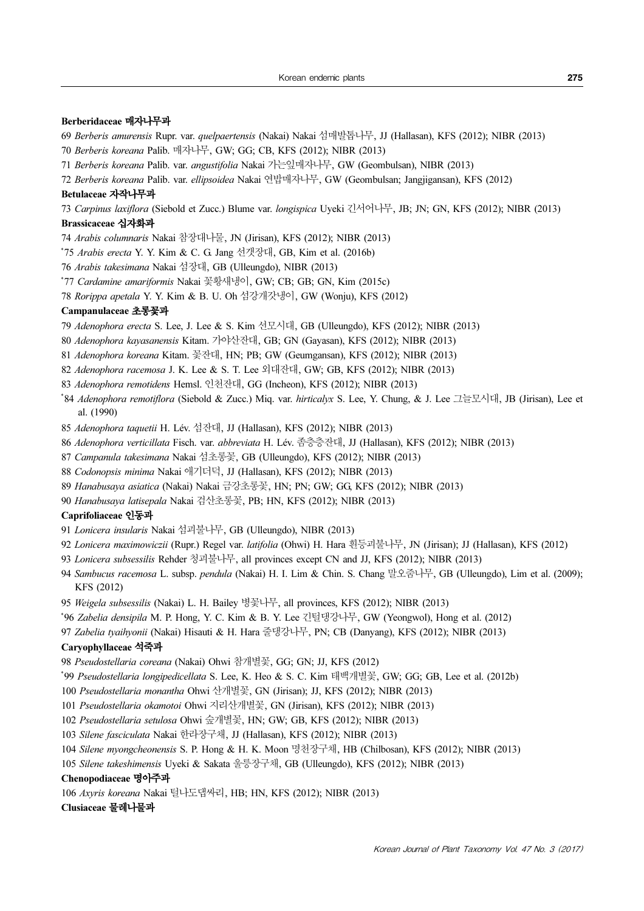### Berberidaceae 매자나무과

- Berberis amurensis Rupr. var. quelpaertensis (Nakai) Nakai 섬매발톱나무, JJ (Hallasan), KFS (2012); NIBR (2013)
- Berberis koreana Palib. 매자나무, GW; GG; CB, KFS (2012); NIBR (2013)
- Berberis koreana Palib. var. angustifolia Nakai 가는잎매자나무, GW (Geombulsan), NIBR (2013)
- Berberis koreana Palib. var. ellipsoidea Nakai 연밥매자나무, GW (Geombulsan; Jangjigansan), KFS (2012) Betulaceae 자작나무과

Carpinus laxiflora (Siebold et Zucc.) Blume var. longispica Uyeki 긴서어나무, JB; JN; GN, KFS (2012); NIBR (2013) Brassicaceae 십자화과

- Arabis columnaris Nakai 참장대나물, JN (Jirisan), KFS (2012); NIBR (2013)
- \* 75 Arabis erecta Y. Y. Kim & C. G. Jang 선갯장대, GB, Kim et al. (2016b)
- Arabis takesimana Nakai 섬장대, GB (Ulleungdo), NIBR (2013)
- \* 77 Cardamine amariformis Nakai 꽃황새냉이, GW; CB; GB; GN, Kim (2015c)
- Rorippa apetala Y. Y. Kim & B. U. Oh 섬강개갓냉이, GW (Wonju), KFS (2012)

### Campanulaceae 초롱꽃과

- Adenophora erecta S. Lee, J. Lee & S. Kim 선모시대, GB (Ulleungdo), KFS (2012); NIBR (2013)
- Adenophora kayasanensis Kitam. 가야산잔대, GB; GN (Gayasan), KFS (2012); NIBR (2013)
- Adenophora koreana Kitam. 꽃잔대, HN; PB; GW (Geumgansan), KFS (2012); NIBR (2013)
- Adenophora racemosa J. K. Lee & S. T. Lee 외대잔대, GW; GB, KFS (2012); NIBR (2013)
- Adenophora remotidens Hemsl. 인천잔대, GG (Incheon), KFS (2012); NIBR (2013)
- \* 84 Adenophora remotiflora (Siebold & Zucc.) Miq. var. hirticalyx S. Lee, Y. Chung, & J. Lee 그늘모시대, JB (Jirisan), Lee et al. (1990)
- Adenophora taquetii H. Lév. 섬잔대, JJ (Hallasan), KFS (2012); NIBR (2013)
- Adenophora verticillata Fisch. var. abbreviata H. Lév. 좀층층잔대, JJ (Hallasan), KFS (2012); NIBR (2013)
- Campanula takesimana Nakai 섬초롱꽃, GB (Ulleungdo), KFS (2012); NIBR (2013)
- Codonopsis minima Nakai 애기더덕, JJ (Hallasan), KFS (2012); NIBR (2013)
- Hanabusaya asiatica (Nakai) Nakai 금강초롱꽃, HN; PN; GW; GG, KFS (2012); NIBR (2013)
- Hanabusaya latisepala Nakai 검산초롱꽃, PB; HN, KFS (2012); NIBR (2013)

#### Caprifoliaceae 인동과

- Lonicera insularis Nakai 섬괴불나무, GB (Ulleungdo), NIBR (2013)
- Lonicera maximowiczii (Rupr.) Regel var. latifolia (Ohwi) H. Hara 흰등괴불나무, JN (Jirisan); JJ (Hallasan), KFS (2012)
- Lonicera subsessilis Rehder 청괴불나무, all provinces except CN and JJ, KFS (2012); NIBR (2013)
- Sambucus racemosa L. subsp. pendula (Nakai) H. I. Lim & Chin. S. Chang 말오줌나무, GB (Ulleungdo), Lim et al. (2009); KFS (2012)
- Weigela subsessilis (Nakai) L. H. Bailey 병꽃나무, all provinces, KFS (2012); NIBR (2013)
- \* 96 Zabelia densipila M. P. Hong, Y. C. Kim & B. Y. Lee 긴털댕강나무, GW (Yeongwol), Hong et al. (2012)
- Zabelia tyaihyonii (Nakai) Hisauti & H. Hara 줄댕강나무, PN; CB (Danyang), KFS (2012); NIBR (2013)

### Caryophyllaceae 석죽과

Pseudostellaria coreana (Nakai) Ohwi 참개별꽃, GG; GN; JJ, KFS (2012)

- \* 99 Pseudostellaria longipedicellata S. Lee, K. Heo & S. C. Kim 태백개별꽃, GW; GG; GB, Lee et al. (2012b)
- Pseudostellaria monantha Ohwi 산개별꽃, GN (Jirisan); JJ, KFS (2012); NIBR (2013)
- Pseudostellaria okamotoi Ohwi 지리산개별꽃, GN (Jirisan), KFS (2012); NIBR (2013)
- Pseudostellaria setulosa Ohwi 숲개별꽃, HN; GW; GB, KFS (2012); NIBR (2013)
- Silene fasciculata Nakai 한라장구채, JJ (Hallasan), KFS (2012); NIBR (2013)
- Silene myongcheonensis S. P. Hong & H. K. Moon 명천장구채, HB (Chilbosan), KFS (2012); NIBR (2013)
- Silene takeshimensis Uyeki & Sakata 울릉장구채, GB (Ulleungdo), KFS (2012); NIBR (2013)

### Chenopodiaceae 명아주과

Axyris koreana Nakai 털나도댑싸리, HB; HN, KFS (2012); NIBR (2013)

#### Clusiaceae 물레나물과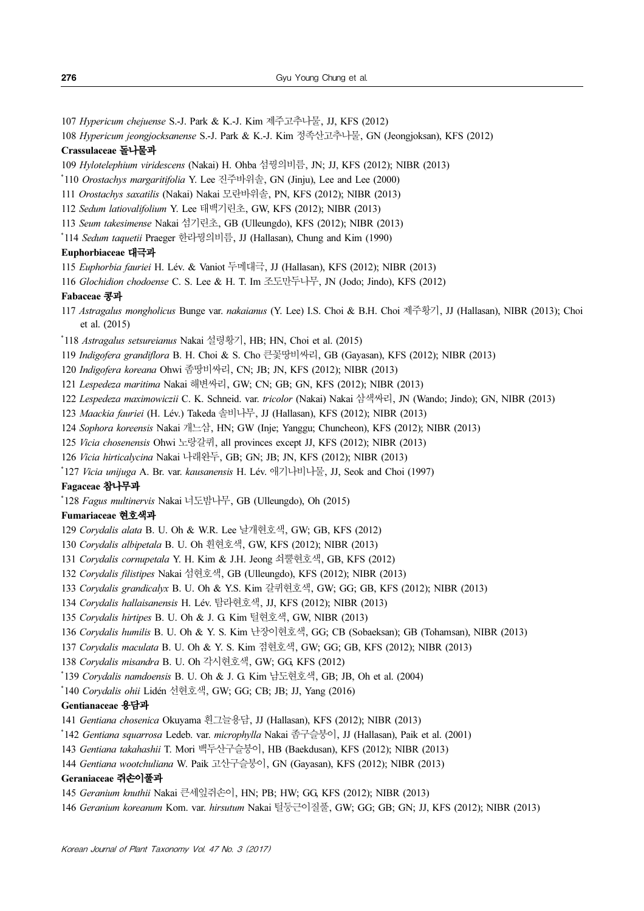- Hypericum chejuense S.-J. Park & K.-J. Kim 제주고추나물, JJ, KFS (2012)
- Hypericum jeongjocksanense S.-J. Park & K.-J. Kim 정족산고추나물, GN (Jeongjoksan), KFS (2012)

### Crassulaceae 돌나물과

- Hylotelephium viridescens (Nakai) H. Ohba 섬꿩의비름, JN; JJ, KFS (2012); NIBR (2013)
- \* 110 Orostachys margaritifolia Y. Lee 진주바위솔, GN (Jinju), Lee and Lee (2000)
- Orostachys saxatilis (Nakai) Nakai 모란바위솔, PN, KFS (2012); NIBR (2013)
- Sedum latiovalifolium Y. Lee 태백기린초, GW, KFS (2012); NIBR (2013)
- Seum takesimense Nakai 섬기린초, GB (Ulleungdo), KFS (2012); NIBR (2013)
- \* 114 Sedum taquetii Praeger 한라꿩의비름, JJ (Hallasan), Chung and Kim (1990)

### Euphorbiaceae 대극과

- Euphorbia fauriei H. Lév. & Vaniot 두메대극, JJ (Hallasan), KFS (2012); NIBR (2013)
- Glochidion chodoense C. S. Lee & H. T. Im 조도만두나무, JN (Jodo; Jindo), KFS (2012)

#### Fabaceae 콩과

- Astragalus mongholicus Bunge var. nakaianus (Y. Lee) I.S. Choi & B.H. Choi 제주황기, JJ (Hallasan), NIBR (2013); Choi et al. (2015)
- \* 118 Astragalus setsureianus Nakai 설령황기, HB; HN, Choi et al. (2015)
- Indigofera grandiflora B. H. Choi & S. Cho 큰꽃땅비싸리, GB (Gayasan), KFS (2012); NIBR (2013)
- Indigofera koreana Ohwi 좀땅비싸리, CN; JB; JN, KFS (2012); NIBR (2013)
- Lespedeza maritima Nakai 해변싸리, GW; CN; GB; GN, KFS (2012); NIBR (2013)
- Lespedeza maximowiczii C. K. Schneid. var. tricolor (Nakai) Nakai 삼색싸리, JN (Wando; Jindo); GN, NIBR (2013)
- Maackia fauriei (H. Lév.) Takeda 솔비나무, JJ (Hallasan), KFS (2012); NIBR (2013)
- Sophora koreensis Nakai 개느삼, HN; GW (Inje; Yanggu; Chuncheon), KFS (2012); NIBR (2013)
- Vicia chosenensis Ohwi 노랑갈퀴, all provinces except JJ, KFS (2012); NIBR (2013)
- Vicia hirticalycina Nakai 나래완두, GB; GN; JB; JN, KFS (2012); NIBR (2013)
- \*127 *Vicia unijuga* A. Br. var. *kausanensis* H. Lév. 애기나비나물, JJ, Seok and Choi (1997)

#### Fagaceae 참나무과

\* 128 Fagus multinervis Nakai 너도밤나무, GB (Ulleungdo), Oh (2015)

### Fumariaceae 현호색과

- Corydalis alata B. U. Oh & W.R. Lee 날개현호색, GW; GB, KFS (2012)
- Corydalis albipetala B. U. Oh 흰현호색, GW, KFS (2012); NIBR (2013)
- Corydalis cornupetala Y. H. Kim & J.H. Jeong 쇠뿔현호색, GB, KFS (2012)
- Corydalis filistipes Nakai 섬현호색, GB (Ulleungdo), KFS (2012); NIBR (2013)
- Corydalis grandicalyx B. U. Oh & Y.S. Kim 갈퀴현호색, GW; GG; GB, KFS (2012); NIBR (2013)
- Corydalis hallaisanensis H. Lév. 탐라현호색, JJ, KFS (2012); NIBR (2013)
- Corydalis hirtipes B. U. Oh & J. G. Kim 털현호색, GW, NIBR (2013)
- Corydalis humilis B. U. Oh & Y. S. Kim 난장이현호색, GG; CB (Sobaeksan); GB (Tohamsan), NIBR (2013)
- Corydalis maculata B. U. Oh & Y. S. Kim 점현호색, GW; GG; GB, KFS (2012); NIBR (2013)
- Corydalis misandra B. U. Oh 각시현호색, GW; GG, KFS (2012)
- \* 139 Corydalis namdoensis B. U. Oh & J. G. Kim 남도현호색, GB; JB, Oh et al. (2004)
- \* 140 Corydalis ohii Lidén 선현호색, GW; GG; CB; JB; JJ, Yang (2016)

### Gentianaceae 용담과

- Gentiana chosenica Okuyama 흰그늘용담, JJ (Hallasan), KFS (2012); NIBR (2013)
- \* 142 Gentiana squarrosa Ledeb. var. microphylla Nakai 좀구슬붕이, JJ (Hallasan), Paik et al. (2001)
- Gentiana takahashii T. Mori 백두산구슬붕이, HB (Baekdusan), KFS (2012); NIBR (2013)
- Gentiana wootchuliana W. Paik 고산구슬붕이, GN (Gayasan), KFS (2012); NIBR (2013)

### Geraniaceae 쥐손이풀과

- Geranium knuthii Nakai 큰세잎쥐손이, HN; PB; HW; GG, KFS (2012); NIBR (2013)
- Geranium koreanum Kom. var. hirsutum Nakai 털둥근이질풀, GW; GG; GB; GN; JJ, KFS (2012); NIBR (2013)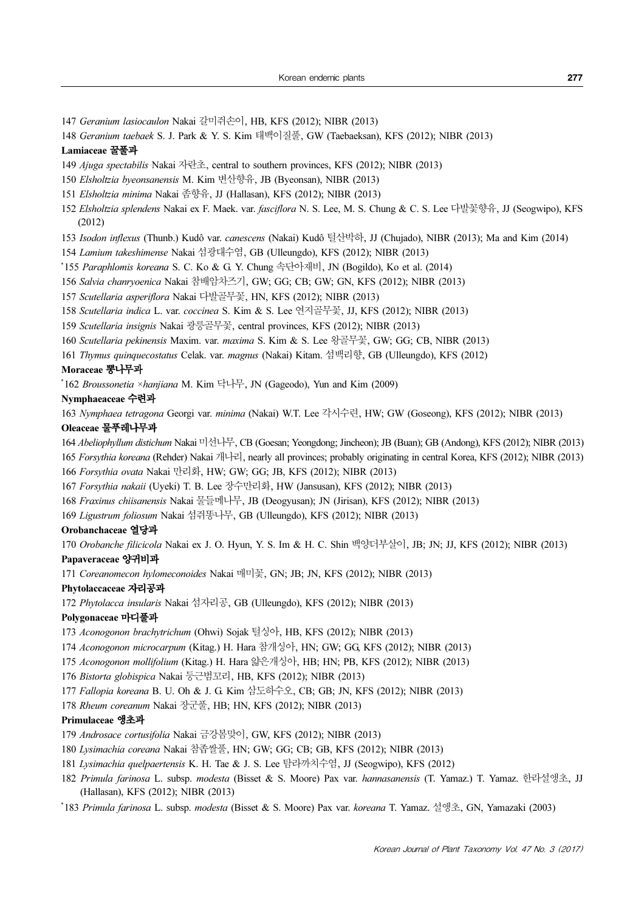Geranium lasiocaulon Nakai 갈미쥐손이, HB, KFS (2012); NIBR (2013)

Geranium taebaek S. J. Park & Y. S. Kim 태백이질풀, GW (Taebaeksan), KFS (2012); NIBR (2013)

### Lamiaceae 꿀풀과

Ajuga spectabilis Nakai 자란초, central to southern provinces, KFS (2012); NIBR (2013)

Elsholtzia byeonsanensis M. Kim 변산향유, JB (Byeonsan), NIBR (2013)

Elsholtzia minima Nakai 좀향유, JJ (Hallasan), KFS (2012); NIBR (2013)

Elsholtzia splendens Nakai ex F. Maek. var. fasciflora N. S. Lee, M. S. Chung & C. S. Lee 다발꽃향유, JJ (Seogwipo), KFS (2012)

Isodon inflexus (Thunb.) Kudô var. canescens (Nakai) Kudô 털산박하, JJ (Chujado), NIBR (2013); Ma and Kim (2014)

Lamium takeshimense Nakai 섬광대수염, GB (Ulleungdo), KFS (2012); NIBR (2013)

\*155 Paraphlomis koreana S. C. Ko & G. Y. Chung 속단아재비, JN (Bogildo), Ko et al. (2014)

Salvia chanryoenica Nakai 참배암차즈기, GW; GG; CB; GW; GN, KFS (2012); NIBR (2013)

Scutellaria asperiflora Nakai 다발골무꽃, HN, KFS (2012); NIBR (2013)

Scutellaria indica L. var. coccinea S. Kim & S. Lee 연지골무꽃, JJ, KFS (2012); NIBR (2013)

Scutellaria insignis Nakai 광릉골무꽃, central provinces, KFS (2012); NIBR (2013)

Scutellaria pekinensis Maxim. var. maxima S. Kim & S. Lee 왕골무꽃, GW; GG; CB, NIBR (2013)

Thymus quinquecostatus Celak. var. magnus (Nakai) Kitam. 섬백리향, GB (Ulleungdo), KFS (2012)

#### Moraceae 뽕나무과

\*162 Broussonetia ×hanjiana M. Kim 닥나무, JN (Gageodo), Yun and Kim (2009)

### Nymphaeaceae 수련과

Nymphaea tetragona Georgi var. minima (Nakai) W.T. Lee 각시수련, HW; GW (Goseong), KFS (2012); NIBR (2013) Oleaceae 물푸레나무과

Abeliophyllum distichum Nakai 미선나무, CB (Goesan; Yeongdong; Jincheon); JB (Buan); GB (Andong), KFS (2012); NIBR (2013)

Forsythia koreana (Rehder) Nakai 개나리, nearly all provinces; probably originating in central Korea, KFS (2012); NIBR (2013)

Forsythia ovata Nakai 만리화, HW; GW; GG; JB, KFS (2012); NIBR (2013)

Forsythia nakaii (Uyeki) T. B. Lee 장수만리화, HW (Jansusan), KFS (2012); NIBR (2013)

Fraxinus chiisanensis Nakai 물들메나무, JB (Deogyusan); JN (Jirisan), KFS (2012); NIBR (2013)

Ligustrum foliosum Nakai 섬쥐똥나무, GB (Ulleungdo), KFS (2012); NIBR (2013)

### Orobanchaceae 열당과

Orobanche filicicola Nakai ex J. O. Hyun, Y. S. Im & H. C. Shin 백양더부살이, JB; JN; JJ, KFS (2012); NIBR (2013)

### Papaveraceae 양귀비과

Coreanomecon hylomeconoides Nakai 매미꽃, GN; JB; JN, KFS (2012); NIBR (2013)

### Phytolaccaceae 자리공과

Phytolacca insularis Nakai 섬자리공, GB (Ulleungdo), KFS (2012); NIBR (2013)

#### Polygonaceae 마디풀과

Aconogonon brachytrichum (Ohwi) Sojak 털싱아, HB, KFS (2012); NIBR (2013)

Aconogonon microcarpum (Kitag.) H. Hara 참개싱아, HN; GW; GG, KFS (2012); NIBR (2013)

Aconogonon mollifolium (Kitag.) H. Hara 얇은개싱아, HB; HN; PB, KFS (2012); NIBR (2013)

Bistorta globispica Nakai 둥근범꼬리, HB, KFS (2012); NIBR (2013)

Fallopia koreana B. U. Oh & J. G. Kim 삼도하수오, CB; GB; JN, KFS (2012); NIBR (2013)

Rheum coreanum Nakai 장군풀, HB; HN, KFS (2012); NIBR (2013)

### Primulaceae 앵초과

Androsace cortusifolia Nakai 금강봄맞이, GW, KFS (2012); NIBR (2013)

- Lysimachia coreana Nakai 참좁쌀풀, HN; GW; GG; CB; GB, KFS (2012); NIBR (2013)
- Lysimachia quelpaertensis K. H. Tae & J. S. Lee 탐라까치수염, JJ (Seogwipo), KFS (2012)
- Primula farinosa L. subsp. modesta (Bisset & S. Moore) Pax var. hannasanensis (T. Yamaz.) T. Yamaz. 한라설앵초, JJ (Hallasan), KFS (2012); NIBR (2013)

\* 183 Primula farinosa L. subsp. modesta (Bisset & S. Moore) Pax var. koreana T. Yamaz. 설앵초, GN, Yamazaki (2003)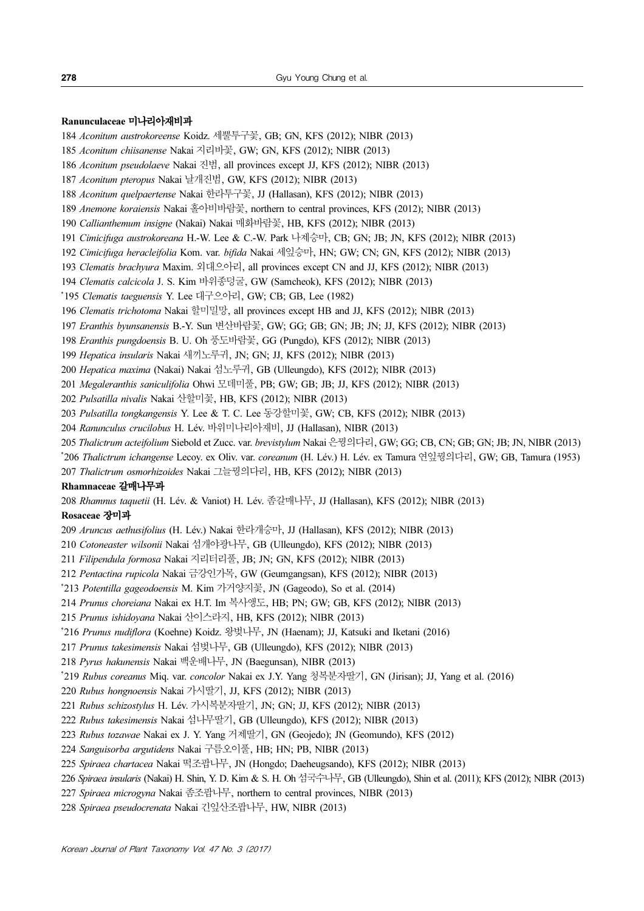#### Ranunculaceae 미나리아재비과

- Aconitum austrokoreense Koidz. 세뿔투구꽃, GB; GN, KFS (2012); NIBR (2013)
- Aconitum chiisanense Nakai 지리바꽃, GW; GN, KFS (2012); NIBR (2013)
- Aconitum pseudolaeve Nakai 진범, all provinces except JJ, KFS (2012); NIBR (2013)
- Aconitum pteropus Nakai 날개진범, GW, KFS (2012); NIBR (2013)
- Aconitum quelpaertense Nakai 한라투구꽃, JJ (Hallasan), KFS (2012); NIBR (2013)
- Anemone koraiensis Nakai 홀아비바람꽃, northern to central provinces, KFS (2012); NIBR (2013)
- Callianthemum insigne (Nakai) Nakai 매화바람꽃, HB, KFS (2012); NIBR (2013)
- Cimicifuga austrokoreana H.-W. Lee & C.-W. Park 나제승마, CB; GN; JB; JN, KFS (2012); NIBR (2013)
- Cimicifuga heracleifolia Kom. var. bifida Nakai 세잎승마, HN; GW; CN; GN, KFS (2012); NIBR (2013)
- Clematis brachyura Maxim. 외대으아리, all provinces except CN and JJ, KFS (2012); NIBR (2013)
- Clematis calcicola J. S. Kim 바위종덩굴, GW (Samcheok), KFS (2012); NIBR (2013)
- \* 195 Clematis taeguensis Y. Lee 대구으아리, GW; CB; GB, Lee (1982)
- Clematis trichotoma Nakai 할미밀망, all provinces except HB and JJ, KFS (2012); NIBR (2013)
- Eranthis byunsanensis B.-Y. Sun 변산바람꽃, GW; GG; GB; GN; JB; JN; JJ, KFS (2012); NIBR (2013)
- Eranthis pungdoensis B. U. Oh 풍도바람꽃, GG (Pungdo), KFS (2012); NIBR (2013)
- Hepatica insularis Nakai 새끼노루귀, JN; GN; JJ, KFS (2012); NIBR (2013)
- Hepatica maxima (Nakai) Nakai 섬노루귀, GB (Ulleungdo), KFS (2012); NIBR (2013)
- Megaleranthis saniculifolia Ohwi 모데미풀, PB; GW; GB; JB; JJ, KFS (2012); NIBR (2013)
- Pulsatilla nivalis Nakai 산할미꽃, HB, KFS (2012); NIBR (2013)
- Pulsatilla tongkangensis Y. Lee & T. C. Lee 동강할미꽃, GW; CB, KFS (2012); NIBR (2013)
- Ranunculus crucilobus H. Lév. 바위미나리아재비, JJ (Hallasan), NIBR (2013)
- Thalictrum acteifolium Siebold et Zucc. var. brevistylum Nakai 은꿩의다리, GW; GG; CB, CN; GB; GN; JB; JN, NIBR (2013)
- \* 206 Thalictrum ichangense Lecoy. ex Oliv. var. coreanum (H. Lév.) H. Lév. ex Tamura 연잎꿩의다리, GW; GB, Tamura (1953)
- Thalictrum osmorhizoides Nakai 그늘꿩의다리, HB, KFS (2012); NIBR (2013)

#### Rhamnaceae 갈매나무과

Rhamnus taquetii (H. Lév. & Vaniot) H. Lév. 좀갈매나무, JJ (Hallasan), KFS (2012); NIBR (2013)

### Rosaceae 장미과

- Aruncus aethusifolius (H. Lév.) Nakai 한라개승마, JJ (Hallasan), KFS (2012); NIBR (2013)
- Cotoneaster wilsonii Nakai 섬개야광나무, GB (Ulleungdo), KFS (2012); NIBR (2013)
- Filipendula formosa Nakai 지리터리풀, JB; JN; GN, KFS (2012); NIBR (2013)
- Pentactina rupicola Nakai 금강인가목, GW (Geumgangsan), KFS (2012); NIBR (2013)
- \* 213 Potentilla gageodoensis M. Kim 가거양지꽃, JN (Gageodo), So et al. (2014)
- Prunus choreiana Nakai ex H.T. Im 복사앵도, HB; PN; GW; GB, KFS (2012); NIBR (2013)
- Prunus ishidoyana Nakai 산이스라지, HB, KFS (2012); NIBR (2013)
- \*216 Prumus mudiflora (Koehne) Koidz. 왕벚나무, JN (Haenam); JJ, Katsuki and Iketani (2016)
- Prunus takesimensis Nakai 섬벚나무, GB (Ulleungdo), KFS (2012); NIBR (2013)
- Pyrus hakunensis Nakai 백운배나무, JN (Baegunsan), NIBR (2013)
- \* 219 Rubus coreanus Miq. var. concolor Nakai ex J.Y. Yang 청복분자딸기, GN (Jirisan); JJ, Yang et al. (2016)
- Rubus hongnoensis Nakai 가시딸기, JJ, KFS (2012); NIBR (2013)
- Rubus schizostylus H. Lév. 가시복분자딸기, JN; GN; JJ, KFS (2012); NIBR (2013)
- Rubus takesimensis Nakai 섬나무딸기, GB (Ulleungdo), KFS (2012); NIBR (2013)
- Rubus tozawae Nakai ex J. Y. Yang 거제딸기, GN (Geojedo); JN (Geomundo), KFS (2012)
- Sanguisorba argutidens Nakai 구름오이풀, HB; HN; PB, NIBR (2013)
- Spiraea chartacea Nakai 떡조팝나무, JN (Hongdo; Daeheugsando), KFS (2012); NIBR (2013)
- Spiraea insularis (Nakai) H. Shin, Y. D. Kim & S. H. Oh 섬국수나무, GB (Ulleungdo), Shin et al. (2011); KFS (2012); NIBR (2013)
- Spiraea microgyna Nakai 좀조팝나무, northern to central provinces, NIBR (2013)
- Spiraea pseudocrenata Nakai 긴잎산조팝나무, HW, NIBR (2013)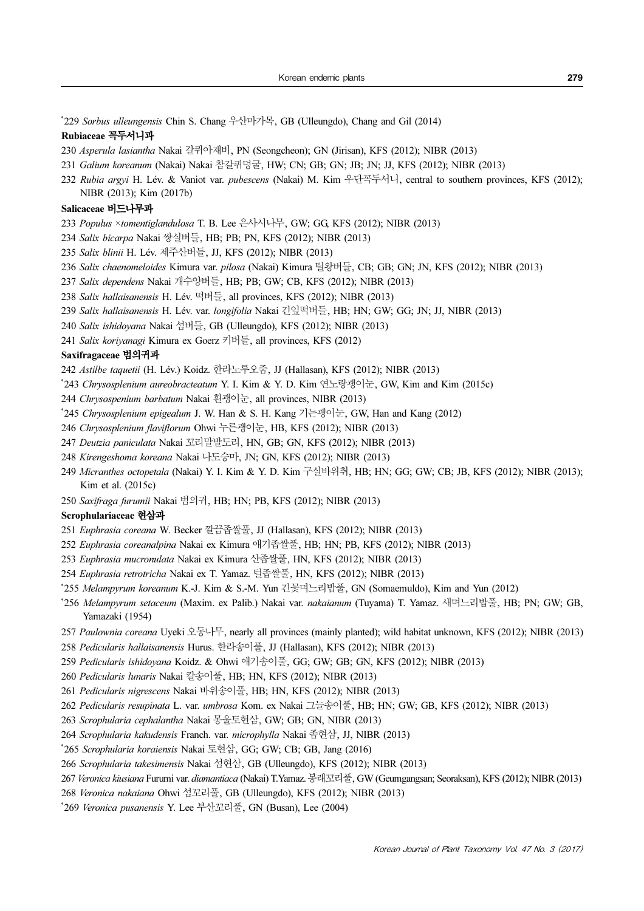\* 229 Sorbus ulleungensis Chin S. Chang 우산마가목, GB (Ulleungdo), Chang and Gil (2014)

#### Rubiaceae 꼭두서니과

- Asperula lasiantha Nakai 갈퀴아재비, PN (Seongcheon); GN (Jirisan), KFS (2012); NIBR (2013)
- Galium koreanum (Nakai) Nakai 참갈퀴덩굴, HW; CN; GB; GN; JB; JN; JJ, KFS (2012); NIBR (2013)
- Rubia argyi H. Lév. & Vaniot var. pubescens (Nakai) M. Kim 우단꼭두서니, central to southern provinces, KFS (2012); NIBR (2013); Kim (2017b)

### Salicaceae 버드나무과

- Populus ×tomentiglandulosa T. B. Lee 은사시나무, GW; GG, KFS (2012); NIBR (2013)
- Salix bicarpa Nakai 쌍실버들, HB; PB; PN, KFS (2012); NIBR (2013)
- Salix blinii H. Lév. 제주산버들, JJ, KFS (2012); NIBR (2013)
- Salix chaenomeloides Kimura var. pilosa (Nakai) Kimura 털왕버들, CB; GB; GN; JN, KFS (2012); NIBR (2013)
- Salix dependens Nakai 개수양버들, HB; PB; GW; CB, KFS (2012); NIBR (2013)
- Salix hallaisanensis H. Lév. 떡버들, all provinces, KFS (2012); NIBR (2013)
- Salix hallaisanensis H. Lév. var. longifolia Nakai 긴잎떡버들, HB; HN; GW; GG; JN; JJ, NIBR (2013)
- Salix ishidoyana Nakai 섬버들, GB (Ulleungdo), KFS (2012); NIBR (2013)
- Salix koriyanagi Kimura ex Goerz 키버들, all provinces, KFS (2012)

### Saxifragaceae 범의귀과

Astilbe taquetii (H. Lév.) Koidz. 한라노루오줌, JJ (Hallasan), KFS (2012); NIBR (2013)

- \* 243 Chrysosplenium aureobracteatum Y. I. Kim & Y. D. Kim 연노랑괭이눈, GW, Kim and Kim (2015c)
- Chrysospenium barbatum Nakai 흰괭이눈, all provinces, NIBR (2013)
- \* 245 Chrysosplenium epigealum J. W. Han & S. H. Kang 기는괭이눈, GW, Han and Kang (2012)
- Chrysosplenium flaviflorum Ohwi 누른괭이눈, HB, KFS (2012); NIBR (2013)
- Deutzia paniculata Nakai 꼬리말발도리, HN, GB; GN, KFS (2012); NIBR (2013)
- Kirengeshoma koreana Nakai 나도승마, JN; GN, KFS (2012); NIBR (2013)
- Micranthes octopetala (Nakai) Y. I. Kim & Y. D. Kim 구실바위취, HB; HN; GG; GW; CB; JB, KFS (2012); NIBR (2013); Kim et al. (2015c)
- Saxifraga furumii Nakai 범의귀, HB; HN; PB, KFS (2012); NIBR (2013)

### Scrophulariaceae 현삼과

- Euphrasia coreana W. Becker 깔끔좁쌀풀, JJ (Hallasan), KFS (2012); NIBR (2013)
- Euphrasia coreanalpina Nakai ex Kimura 애기좁쌀풀, HB; HN; PB, KFS (2012); NIBR (2013)
- Euphrasia mucronulata Nakai ex Kimura 산좁쌀풀, HN, KFS (2012); NIBR (2013)
- Euphrasia retrotricha Nakai ex T. Yamaz. 털좁쌀풀, HN, KFS (2012); NIBR (2013)
- \* 255 Melampyrum koreanum K.-J. Kim & S.-M. Yun 긴꽃며느리밥풀, GN (Somaemuldo), Kim and Yun (2012)
- \*256 Melampyrum setaceum (Maxim. ex Palib.) Nakai var. nakaianum (Tuyama) T. Yamaz. 새며느리밥풀, HB; PN; GW; GB, Yamazaki (1954)
- Paulownia coreana Uyeki 오동나무, nearly all provinces (mainly planted); wild habitat unknown, KFS (2012); NIBR (2013)
- Pedicularis hallaisanensis Hurus. 한라송이풀, JJ (Hallasan), KFS (2012); NIBR (2013)
- Pedicularis ishidoyana Koidz. & Ohwi 애기송이풀, GG; GW; GB; GN, KFS (2012); NIBR (2013)
- Pedicularis lunaris Nakai 칼송이풀, HB; HN, KFS (2012); NIBR (2013)
- Pedicularis nigrescens Nakai 바위송이풀, HB; HN, KFS (2012); NIBR (2013)
- Pedicularis resupinata L. var. umbrosa Kom. ex Nakai 그늘송이풀, HB; HN; GW; GB, KFS (2012); NIBR (2013)
- Scrophularia cephalantha Nakai 몽울토현삼, GW; GB; GN, NIBR (2013)
- Scrophularia kakudensis Franch. var. microphylla Nakai 좀현삼, JJ, NIBR (2013)
- \* 265 Scrophularia koraiensis Nakai 토현삼, GG; GW; CB; GB, Jang (2016)
- Scrophularia takesimensis Nakai 섬현삼, GB (Ulleungdo), KFS (2012); NIBR (2013)
- Veronica kiusiana Furumi var. diamantiaca (Nakai) T.Yamaz. 봉래꼬리풀, GW (Geumgangsan; Seoraksan), KFS (2012); NIBR (2013)
- Veronica nakaiana Ohwi 섬꼬리풀, GB (Ulleungdo), KFS (2012); NIBR (2013)
- \* 269 Veronica pusanensis Y. Lee 부산꼬리풀, GN (Busan), Lee (2004)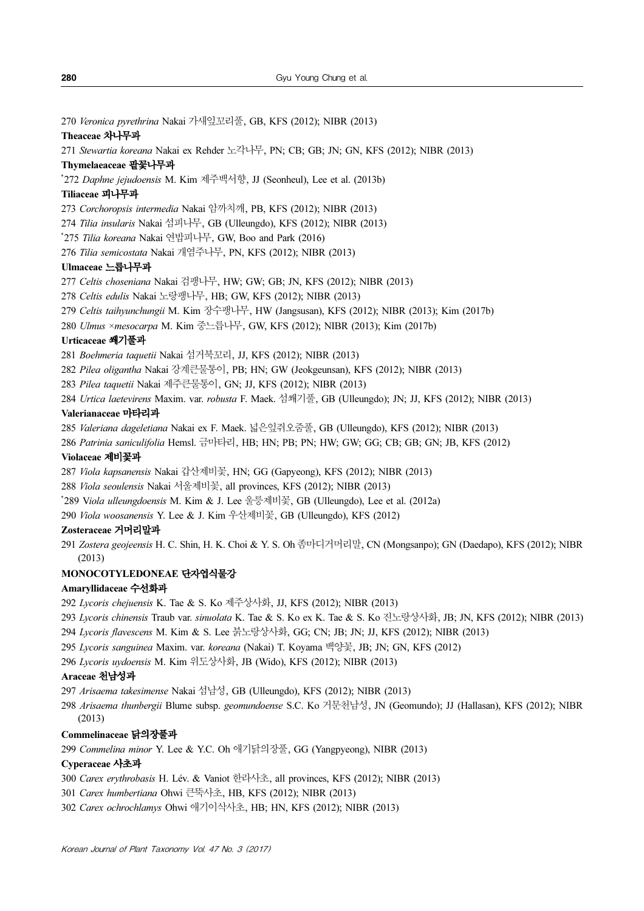Veronica pyrethrina Nakai 가새잎꼬리풀, GB, KFS (2012); NIBR (2013)

### Theaceae 차나무과

Stewartia koreana Nakai ex Rehder 노각나무, PN; CB; GB; JN; GN, KFS (2012); NIBR (2013)

### Thymelaeaceae 팥꽃나무과

\* 272 Daphne jejudoensis M. Kim 제주백서향, JJ (Seonheul), Lee et al. (2013b)

### Tiliaceae 피나무과

Corchoropsis intermedia Nakai 암까치깨, PB, KFS (2012); NIBR (2013)

- Tilia insularis Nakai 섬피나무, GB (Ulleungdo), KFS (2012); NIBR (2013)
- \* 275 Tilia koreana Nakai 연밥피나무, GW, Boo and Park (2016)

Tilia semicostata Nakai 개염주나무, PN, KFS (2012); NIBR (2013)

### Ulmaceae 느릅나무과

Celtis choseniana Nakai 검팽나무, HW; GW; GB; JN, KFS (2012); NIBR (2013)

Celtis edulis Nakai 노랑팽나무, HB; GW, KFS (2012); NIBR (2013)

- Celtis taihyunchungii M. Kim 장수팽나무, HW (Jangsusan), KFS (2012); NIBR (2013); Kim (2017b)
- Ulmus ×mesocarpa M. Kim 중느릅나무, GW, KFS (2012); NIBR (2013); Kim (2017b)

### Urticaceae 쐐기풀과

Boehmeria taquetii Nakai 섬거북꼬리, JJ, KFS (2012); NIBR (2013)

- Pilea oligantha Nakai 강계큰물통이, PB; HN; GW (Jeokgeunsan), KFS (2012); NIBR (2013)
- Pilea taquetii Nakai 제주큰물통이, GN; JJ, KFS (2012); NIBR (2013)
- Urtica laetevirens Maxim. var. robusta F. Maek. 섬쐐기풀, GB (Ulleungdo); JN; JJ, KFS (2012); NIBR (2013)

### Valerianaceae 마타리과

Valeriana dageletiana Nakai ex F. Maek. 넓은잎쥐오줌풀, GB (Ulleungdo), KFS (2012); NIBR (2013)

Patrinia saniculifolia Hemsl. 금마타리, HB; HN; PB; PN; HW; GW; GG; CB; GB; GN; JB, KFS (2012)

### Violaceae 제비꽃과

Viola kapsanensis Nakai 갑산제비꽃, HN; GG (Gapyeong), KFS (2012); NIBR (2013)

- Viola seoulensis Nakai 서울제비꽃, all provinces, KFS (2012); NIBR (2013)
- \* 289 Viola ulleungdoensis M. Kim & J. Lee 울릉제비꽃, GB (Ulleungdo), Lee et al. (2012a)
- Viola woosanensis Y. Lee & J. Kim 우산제비꽃, GB (Ulleungdo), KFS (2012)

### Zosteraceae 거머리말과

Zostera geojeensis H. C. Shin, H. K. Choi & Y. S. Oh 좀마디거머리말, CN (Mongsanpo); GN (Daedapo), KFS (2012); NIBR (2013)

### MONOCOTYLEDONEAE 단자엽식물강

### Amaryllidaceae 수선화과

Lycoris chejuensis K. Tae & S. Ko 제주상사화, JJ, KFS (2012); NIBR (2013)

- Lycoris chinensis Traub var. sinuolata K. Tae & S. Ko ex K. Tae & S. Ko 진노랑상사화, JB; JN, KFS (2012); NIBR (2013)
- Lycoris flavescens M. Kim & S. Lee 붉노랑상사화, GG; CN; JB; JN; JJ, KFS (2012); NIBR (2013)
- Lycoris sanguinea Maxim. var. koreana (Nakai) T. Koyama 백양꽃, JB; JN; GN, KFS (2012)
- Lycoris uydoensis M. Kim 위도상사화, JB (Wido), KFS (2012); NIBR (2013)

### Araceae 천남성과

Arisaema takesimense Nakai 섬남성, GB (Ulleungdo), KFS (2012); NIBR (2013)

Arisaema thunbergii Blume subsp. geomundoense S.C. Ko 거문천남성, JN (Geomundo); JJ (Hallasan), KFS (2012); NIBR (2013)

### Commelinaceae 닭의장풀과

Commelina minor Y. Lee & Y.C. Oh 애기닭의장풀, GG (Yangpyeong), NIBR (2013)

### Cyperaceae 사초과

- Carex erythrobasis H. Lév. & Vaniot 한라사초, all provinces, KFS (2012); NIBR (2013)
- Carex humbertiana Ohwi 큰뚝사초, HB, KFS (2012); NIBR (2013)
- Carex ochrochlamys Ohwi 애기이삭사초, HB; HN, KFS (2012); NIBR (2013)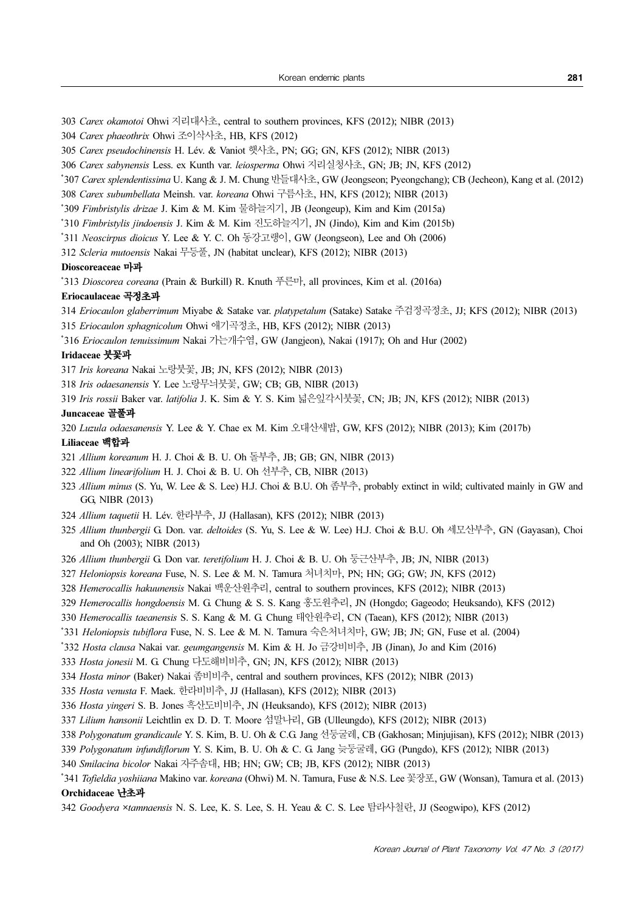- Carex okamotoi Ohwi 지리대사초, central to southern provinces, KFS (2012); NIBR (2013)
- Carex phaeothrix Ohwi 조이삭사초, HB, KFS (2012)
- Carex pseudochinensis H. Lév. & Vaniot 햇사초, PN; GG; GN, KFS (2012); NIBR (2013)
- Carex sabynensis Less. ex Kunth var. leiosperma Ohwi 지리실청사초, GN; JB; JN, KFS (2012)
- \* 307 Carex splendentissima U. Kang & J. M. Chung 반들대사초, GW (Jeongseon; Pyeongchang); CB (Jecheon), Kang et al. (2012)
- Carex subumbellata Meinsh. var. koreana Ohwi 구름사초, HN, KFS (2012); NIBR (2013)
- \* 309 Fimbristylis drizae J. Kim & M. Kim 물하늘지기, JB (Jeongeup), Kim and Kim (2015a)
- \* 310 Fimbristylis jindoensis J. Kim & M. Kim 진도하늘지기, JN (Jindo), Kim and Kim (2015b)
- \* 311 Neoscirpus dioicus Y. Lee & Y. C. Oh 동강고랭이, GW (Jeongseon), Lee and Oh (2006)
- Scleria mutoensis Nakai 무등풀, JN (habitat unclear), KFS (2012); NIBR (2013)

### Dioscoreaceae 마과

<sup>\*</sup>313 Dioscorea coreana (Prain & Burkill) R. Knuth  $\frac{12}{12}$ <sup>H</sup>, all provinces, Kim et al. (2016a)

### Eriocaulaceae 곡정초과

- Eriocaulon glaberrimum Miyabe & Satake var. platypetalum (Satake) Satake 주검정곡정초, JJ; KFS (2012); NIBR (2013)
- Eriocaulon sphagnicolum Ohwi 애기곡정초, HB, KFS (2012); NIBR (2013)
- \* 316 Eriocaulon tenuissimum Nakai 가는개수염, GW (Jangjeon), Nakai (1917); Oh and Hur (2002)

### Iridaceae 붓꽃과

- Iris koreana Nakai 노랑붓꽃, JB; JN, KFS (2012); NIBR (2013)
- Iris odaesanensis Y. Lee 노랑무늬붓꽃, GW; CB; GB, NIBR (2013)
- Iris rossii Baker var. latifolia J. K. Sim & Y. S. Kim 넓은잎각시붓꽃, CN; JB; JN, KFS (2012); NIBR (2013)

#### Juncaceae 골풀과

Luzula odaesanensis Y. Lee & Y. Chae ex M. Kim 오대산새밥, GW, KFS (2012); NIBR (2013); Kim (2017b)

### Liliaceae 백합과

- Allium koreanum H. J. Choi & B. U. Oh 돌부추, JB; GB; GN, NIBR (2013)
- Allium linearifolium H. J. Choi & B. U. Oh 선부추, CB, NIBR (2013)
- Allium minus (S. Yu, W. Lee & S. Lee) H.J. Choi & B.U. Oh 좀부추, probably extinct in wild; cultivated mainly in GW and GG, NIBR (2013)
- Allium taquetii H. Lév. 한라부추, JJ (Hallasan), KFS (2012); NIBR (2013)
- Allium thunbergii G. Don. var. deltoides (S. Yu, S. Lee & W. Lee) H.J. Choi & B.U. Oh 세모산부추, GN (Gayasan), Choi and Oh (2003); NIBR (2013)
- Allium thunbergii G. Don var. teretifolium H. J. Choi & B. U. Oh 둥근산부추, JB; JN, NIBR (2013)
- Heloniopsis koreana Fuse, N. S. Lee & M. N. Tamura 처녀치마, PN; HN; GG; GW; JN, KFS (2012)
- Hemerocallis hakuunensis Nakai 백운산원추리, central to southern provinces, KFS (2012); NIBR (2013)
- Hemerocallis hongdoensis M. G. Chung & S. S. Kang 홍도원추리, JN (Hongdo; Gageodo; Heuksando), KFS (2012)
- Hemerocallis taeanensis S. S. Kang & M. G. Chung 태안원추리, CN (Taean), KFS (2012); NIBR (2013)
- \*331 *Heloniopsis tubiflora* Fuse, N. S. Lee & M. N. Tamura 숙은처녀치마, GW; JB; JN; GN, Fuse et al. (2004)
- \*332 Hosta clausa Nakai var. geumgangensis M. Kim & H. Jo 금강비비추, JB (Jinan), Jo and Kim (2016)
- Hosta jonesii M. G. Chung 다도해비비추, GN; JN, KFS (2012); NIBR (2013)
- Hosta minor (Baker) Nakai 좀비비추, central and southern provinces, KFS (2012); NIBR (2013)
- Hosta venusta F. Maek. 한라비비추, JJ (Hallasan), KFS (2012); NIBR (2013)
- Hosta yingeri S. B. Jones 흑산도비비추, JN (Heuksando), KFS (2012); NIBR (2013)
- Lilium hansonii Leichtlin ex D. D. T. Moore 섬말나리, GB (Ulleungdo), KFS (2012); NIBR (2013)
- Polygonatum grandicaule Y. S. Kim, B. U. Oh & C.G. Jang 선둥굴레, CB (Gakhosan; Minjujisan), KFS (2012); NIBR (2013)
- Polygonatum infundiflorum Y. S. Kim, B. U. Oh & C. G. Jang 늦둥굴레, GG (Pungdo), KFS (2012); NIBR (2013)
- Smilacina bicolor Nakai 자주솜대, HB; HN; GW; CB; JB, KFS (2012); NIBR (2013)
- \*341 *Tofieldia yoshiiana* Makino var. *koreana* (Ohwi) M. N. Tamura, Fuse & N.S. Lee  $\frac{17}{50}$ . GW (Wonsan), Tamura et al. (2013) Orchidaceae 난초과
- Goodyera ×tamnaensis N. S. Lee, K. S. Lee, S. H. Yeau & C. S. Lee 탐라사철란, JJ (Seogwipo), KFS (2012)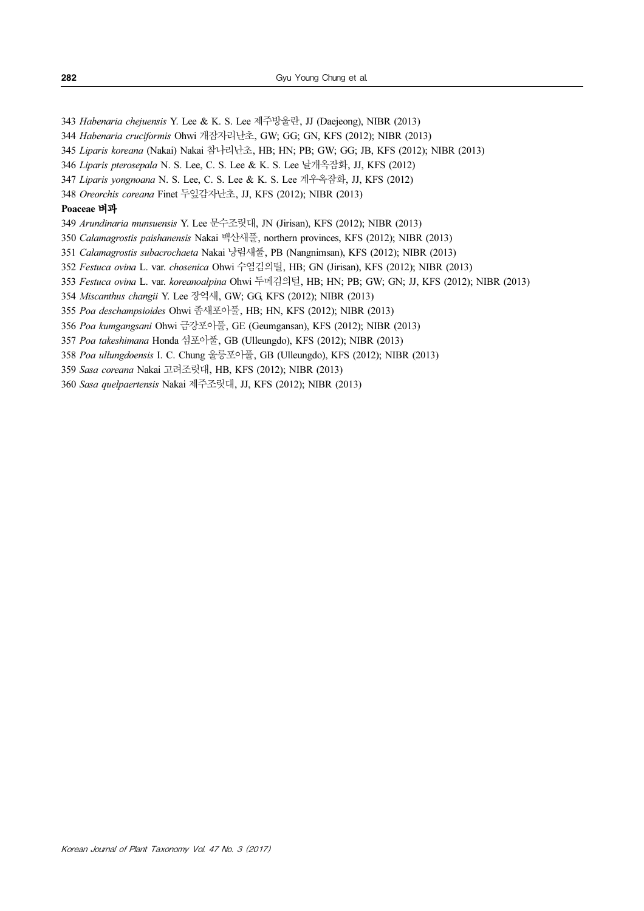Habenaria chejuensis Y. Lee & K. S. Lee 제주방울란, JJ (Daejeong), NIBR (2013)

Habenaria cruciformis Ohwi 개잠자리난초, GW; GG; GN, KFS (2012); NIBR (2013)

Liparis koreana (Nakai) Nakai 참나리난초, HB; HN; PB; GW; GG; JB, KFS (2012); NIBR (2013)

Liparis pterosepala N. S. Lee, C. S. Lee & K. S. Lee 날개옥잠화, JJ, KFS (2012)

Liparis yongnoana N. S. Lee, C. S. Lee & K. S. Lee 계우옥잠화, JJ, KFS (2012)

Oreorchis coreana Finet 두잎감자난초, JJ, KFS (2012); NIBR (2013)

### Poaceae 벼과

Arundinaria munsuensis Y. Lee 문수조릿대, JN (Jirisan), KFS (2012); NIBR (2013)

Calamagrostis paishanensis Nakai 백산새풀, northern provinces, KFS (2012); NIBR (2013)

Calamagrostis subacrochaeta Nakai 낭림새풀, PB (Nangnimsan), KFS (2012); NIBR (2013)

Festuca ovina L. var. chosenica Ohwi 수염김의털, HB; GN (Jirisan), KFS (2012); NIBR (2013)

Festuca ovina L. var. koreanoalpina Ohwi 두메김의털, HB; HN; PB; GW; GN; JJ, KFS (2012); NIBR (2013)

Miscanthus changii Y. Lee 장억새, GW; GG, KFS (2012); NIBR (2013)

Poa deschampsioides Ohwi 좀새포아풀, HB; HN, KFS (2012); NIBR (2013)

Poa kumgangsani Ohwi 금강포아풀, GE (Geumgansan), KFS (2012); NIBR (2013)

Poa takeshimana Honda 섬포아풀, GB (Ulleungdo), KFS (2012); NIBR (2013)

Poa ullungdoensis I. C. Chung 울릉포아풀, GB (Ulleungdo), KFS (2012); NIBR (2013)

Sasa coreana Nakai 고려조릿대, HB, KFS (2012); NIBR (2013)

Sasa quelpaertensis Nakai 제주조릿대, JJ, KFS (2012); NIBR (2013)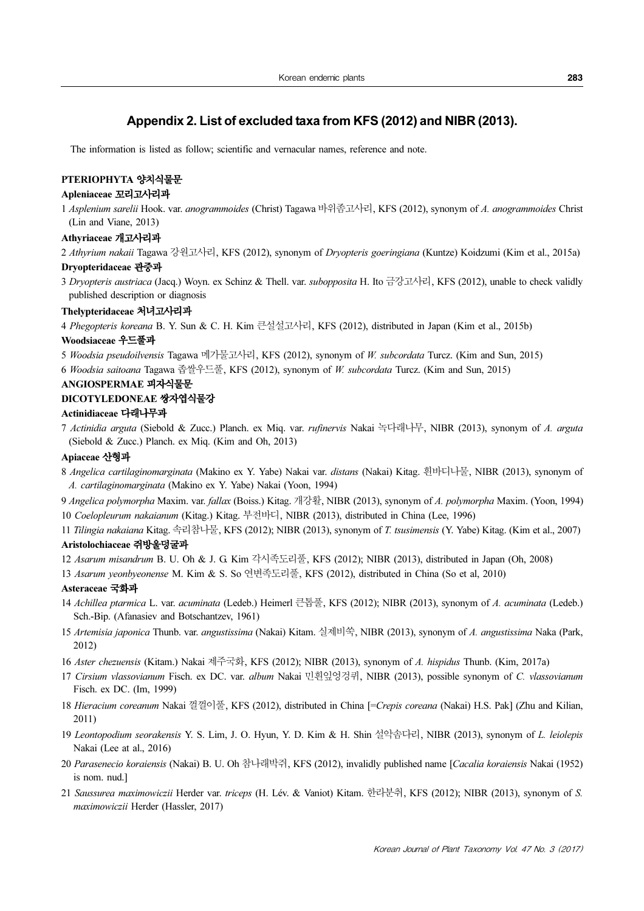### Appendix 2. List of excluded taxa from KFS (2012) and NIBR (2013).

The information is listed as follow; scientific and vernacular names, reference and note.

### PTERIOPHYTA 양치식물문

### Apleniaceae 꼬리고사리과

1 Asplenium sarelii Hook. var. anogrammoides (Christ) Tagawa 바위좀고사리, KFS (2012), synonym of A. anogrammoides Christ (Lin and Viane, 2013)

### Athyriaceae 개고사리과

2 Athyrium nakaii Tagawa 강원고사리, KFS (2012), synonym of Dryopteris goeringiana (Kuntze) Koidzumi (Kim et al., 2015a)

### Dryopteridaceae 관중과

3 Dryopteris austriaca (Jacq.) Woyn. ex Schinz & Thell. var. subopposita H. Ito 금강고사리, KFS (2012), unable to check validly published description or diagnosis

#### Thelypteridaceae 처녀고사리과

4 Phegopteris koreana B. Y. Sun & C. H. Kim 큰설설고사리, KFS (2012), distributed in Japan (Kim et al., 2015b)

#### Woodsiaceae 우드풀과

5 Woodsia pseudoilvensis Tagawa 메가물고사리, KFS (2012), synonym of W. subcordata Turcz. (Kim and Sun, 2015) 6 Woodsia saitoana Tagawa 좁쌀우드풀, KFS (2012), synonym of W. subcordata Turcz. (Kim and Sun, 2015)

## ANGIOSPERMAE 피자식물문

### DICOTYLEDONEAE 쌍자엽식물강

### Actinidiaceae 다래나무과

7 Actinidia arguta (Siebold & Zucc.) Planch. ex Miq. var. rufinervis Nakai 녹다래나무, NIBR (2013), synonym of A. arguta (Siebold & Zucc.) Planch. ex Miq. (Kim and Oh, 2013)

### Apiaceae 산형과

8 Angelica cartilaginomarginata (Makino ex Y. Yabe) Nakai var. distans (Nakai) Kitag. 흰바디나물, NIBR (2013), synonym of A. cartilaginomarginata (Makino ex Y. Yabe) Nakai (Yoon, 1994)

9 Angelica polymorpha Maxim. var. fallax (Boiss.) Kitag. 개강활, NIBR (2013), synonym of A. polymorpha Maxim. (Yoon, 1994) 10 Coelopleurum nakaianum (Kitag.) Kitag. 부전바디, NIBR (2013), distributed in China (Lee, 1996)

11 Tilingia nakaiana Kitag. 속리참나물, KFS (2012); NIBR (2013), synonym of T. tsusimensis (Y. Yabe) Kitag. (Kim et al., 2007) Aristolochiaceae 쥐방울덩굴과

12 Asarum misandrum B. U. Oh & J. G. Kim 각시족도리풀, KFS (2012); NIBR (2013), distributed in Japan (Oh, 2008)

13 Asarum yeonbyeonense M. Kim & S. So 연변족도리풀, KFS (2012), distributed in China (So et al, 2010)

### Asteraceae 국화과

- 14 Achillea ptarmica L. var. acuminata (Ledeb.) Heimerl 큰톱풀, KFS (2012); NIBR (2013), synonym of A. acuminata (Ledeb.) Sch.-Bip. (Afanasiev and Botschantzev, 1961)
- 15 Artemisia japonica Thunb. var. angustissima (Nakai) Kitam. 실제비쑥, NIBR (2013), synonym of A. angustissima Naka (Park, 2012)
- 16 Aster chezuensis (Kitam.) Nakai 제주국화, KFS (2012); NIBR (2013), synonym of A. hispidus Thunb. (Kim, 2017a)
- 17 Cirsium vlassovianum Fisch. ex DC. var. album Nakai 민흰잎엉겅퀴, NIBR (2013), possible synonym of C. vlassovianum Fisch. ex DC. (Im, 1999)
- 18 Hieracium coreanum Nakai 껄껄이풀, KFS (2012), distributed in China [=Crepis coreana (Nakai) H.S. Pak] (Zhu and Kilian, 2011)
- 19 Leontopodium seorakensis Y. S. Lim, J. O. Hyun, Y. D. Kim & H. Shin 설악솜다리, NIBR (2013), synonym of L. leiolepis Nakai (Lee at al., 2016)
- 20 Parasenecio koraiensis (Nakai) B. U. Oh 참나래박쥐, KFS (2012), invalidly published name [Cacalia koraiensis Nakai (1952) is nom. nud.]
- 21 Saussurea maximowiczii Herder var. triceps (H. Lév. & Vaniot) Kitam. 한라분취, KFS (2012); NIBR (2013), synonym of S. maximowiczii Herder (Hassler, 2017)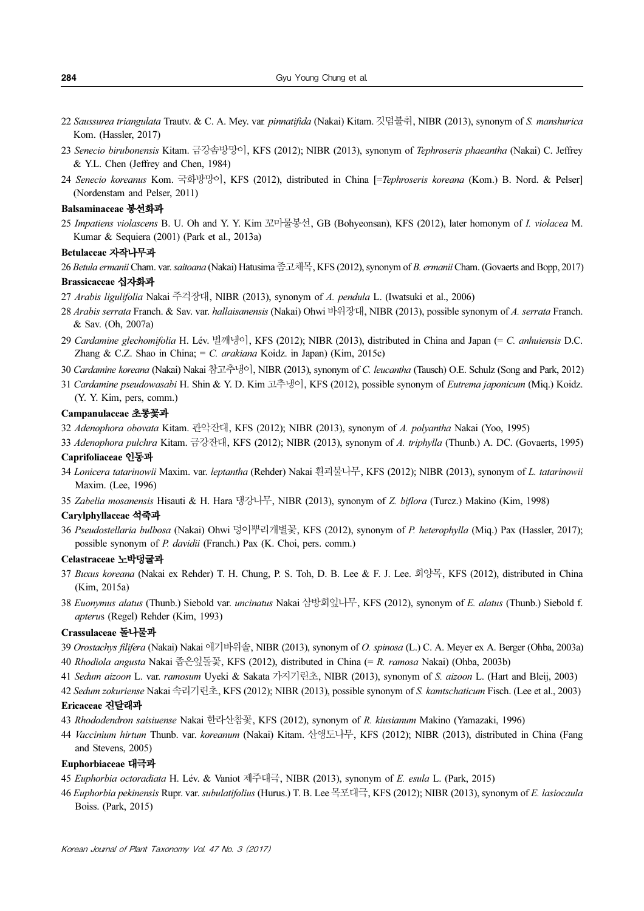- 22 Saussurea triangulata Trautv. & C. A. Mey. var. pinnatifida (Nakai) Kitam. 깃덤불취, NIBR (2013), synonym of S. manshurica Kom. (Hassler, 2017)
- 23 Senecio birubonensis Kitam. 금강솜방망이, KFS (2012); NIBR (2013), synonym of Tephroseris phaeantha (Nakai) C. Jeffrey & Y.L. Chen (Jeffrey and Chen, 1984)
- 24 Senecio koreanus Kom. 국화방망이, KFS (2012), distributed in China [=Tephroseris koreana (Kom.) B. Nord. & Pelser] (Nordenstam and Pelser, 2011)

#### Balsaminaceae 봉선화과

25 Impatiens violascens B. U. Oh and Y. Y. Kim 꼬마물봉선, GB (Bohyeonsan), KFS (2012), later homonym of I. violacea M. Kumar & Sequiera (2001) (Park et al., 2013a)

#### Betulaceae 자작나무과

26 Betula ermanii Cham. var. saitoana (Nakai) Hatusima 좀고채목, KFS (2012), synonym of B. ermanii Cham. (Govaerts and Bopp, 2017) Brassicaceae 십자화과

### 27 Arabis ligulifolia Nakai 주걱장대, NIBR (2013), synonym of A. pendula L. (Iwatsuki et al., 2006)

- 28 Arabis serrata Franch. & Sav. var. hallaisanensis (Nakai) Ohwi 바위장대, NIBR (2013), possible synonym of A. serrata Franch. & Sav. (Oh, 2007a)
- 29 Cardamine glechomifolia H. Lév. 벌깨냉이, KFS (2012); NIBR (2013), distributed in China and Japan (= C. anhuiensis D.C. Zhang & C.Z. Shao in China; = C. arakiana Koidz. in Japan) (Kim, 2015c)
- 30 Cardamine koreana (Nakai) Nakai 참고추냉이, NIBR (2013), synonym of C. leucantha (Tausch) O.E. Schulz (Song and Park, 2012)
- 31 Cardamine pseudowasabi H. Shin & Y. D. Kim 고추냉이, KFS (2012), possible synonym of Eutrema japonicum (Miq.) Koidz. (Y. Y. Kim, pers, comm.)

#### Campanulaceae 초롱꽃과

32 Adenophora obovata Kitam. 관악잔대, KFS (2012); NIBR (2013), synonym of A. polyantha Nakai (Yoo, 1995)

- 33 Adenophora pulchra Kitam. 금강잔대, KFS (2012); NIBR (2013), synonym of A. triphylla (Thunb.) A. DC. (Govaerts, 1995) Caprifoliaceae 인동과
- 34 Lonicera tatarinowii Maxim. var. leptantha (Rehder) Nakai 흰괴불나무, KFS (2012); NIBR (2013), synonym of L. tatarinowii Maxim. (Lee, 1996)
- 35 Zabelia mosanensis Hisauti & H. Hara 댕강나무, NIBR (2013), synonym of Z. biflora (Turcz.) Makino (Kim, 1998)

#### Carylphyllaceae 석죽과

36 Pseudostellaria bulbosa (Nakai) Ohwi 덩이뿌리개별꽃, KFS (2012), synonym of P. heterophylla (Miq.) Pax (Hassler, 2017); possible synonym of P. davidii (Franch.) Pax (K. Choi, pers. comm.)

### Celastraceae 노박덩굴과

- 37 Buxus koreana (Nakai ex Rehder) T. H. Chung, P. S. Toh, D. B. Lee & F. J. Lee. 회양목, KFS (2012), distributed in China (Kim, 2015a)
- 38 Euonymus alatus (Thunb.) Siebold var. uncinatus Nakai 삼방회잎나무, KFS (2012), synonym of E. alatus (Thunb.) Siebold f. apterus (Regel) Rehder (Kim, 1993)

### Crassulaceae 돌나물과

- 39 Orostachys filifera (Nakai) Nakai 애기바위솔, NIBR (2013), synonym of O. spinosa (L.) C. A. Meyer ex A. Berger (Ohba, 2003a)
- 40 Rhodiola angusta Nakai 좁은잎돌꽃, KFS (2012), distributed in China (= R. ramosa Nakai) (Ohba, 2003b)
- 41 Sedum aizoon L. var. ramosum Uyeki & Sakata 가지기린초, NIBR (2013), synonym of S. aizoon L. (Hart and Bleij, 2003)
- 42 Sedum zokuriense Nakai 속리기린초, KFS (2012); NIBR (2013), possible synonym of S. kamtschaticum Fisch. (Lee et al., 2003)

### Ericaceae 진달래과

- 43 Rhododendron saisiuense Nakai 한라산참꽃, KFS (2012), synonym of R. kiusianum Makino (Yamazaki, 1996)
- 44 Vaccinium hirtum Thunb. var. koreanum (Nakai) Kitam. 산앵도나무, KFS (2012); NIBR (2013), distributed in China (Fang and Stevens, 2005)

#### Euphorbiaceae 대극과

- 45 Euphorbia octoradiata H. Lév. & Vaniot 제주대극, NIBR (2013), synonym of E. esula L. (Park, 2015)
- 46 Euphorbia pekinensis Rupr. var. subulatifolius (Hurus.) T. B. Lee 목포대극, KFS (2012); NIBR (2013), synonym of E. lasiocaula Boiss. (Park, 2015)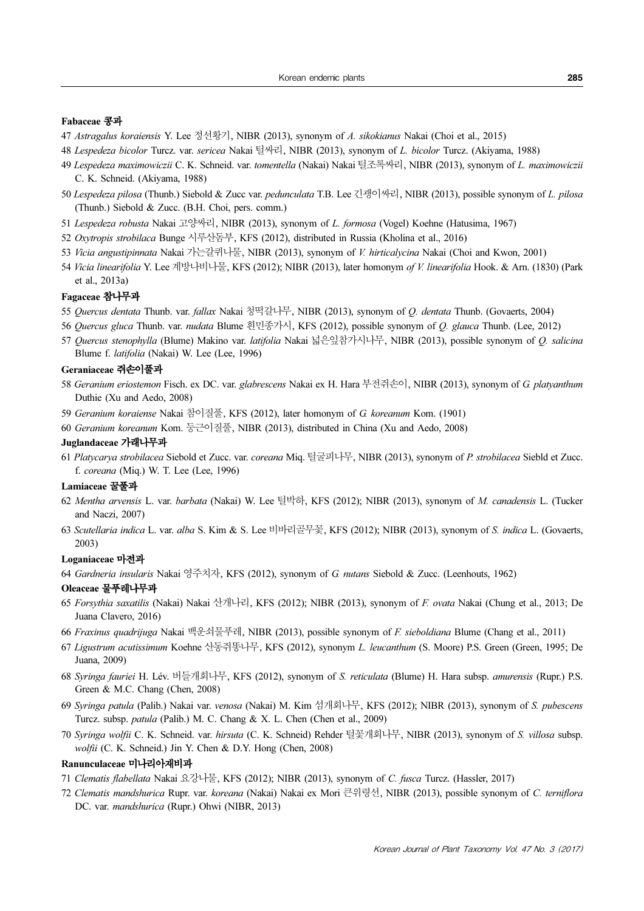### Fabaceae 콩과

- 47 Astragalus koraiensis Y. Lee 정선황기, NIBR (2013), synonym of A. sikokianus Nakai (Choi et al., 2015)
- 48 Lespedeza bicolor Turcz. var. sericea Nakai 털싸리, NIBR (2013), synonym of L. bicolor Turcz. (Akiyama, 1988)
- 49 Lespedeza maximowiczii C. K. Schneid. var. tomentella (Nakai) Nakai 털조록싸리, NIBR (2013), synonym of L. maximowiczii C. K. Schneid. (Akiyama, 1988)
- 50 Lespedeza pilosa (Thunb.) Siebold & Zucc var. pedunculata T.B. Lee 긴괭이싸리, NIBR (2013), possible synonym of L. pilosa (Thunb.) Siebold & Zucc. (B.H. Choi, pers. comm.)
- 51 Lespedeza robusta Nakai 고양싸리, NIBR (2013), synonym of L. formosa (Vogel) Koehne (Hatusima, 1967)
- 52 Oxytropis strobilaca Bunge 시루산돔부, KFS (2012), distributed in Russia (Kholina et al., 2016)
- 53 Vicia angustipinnata Nakai 가는갈퀴나물, NIBR (2013), synonym of V. hirticalycina Nakai (Choi and Kwon, 2001)
- 54 Vicia linearifolia Y. Lee 계방나비나물, KFS (2012); NIBR (2013), later homonym of V. linearifolia Hook. & Arn. (1830) (Park et al., 2013a)

#### Fagaceae 참나무과

- 55 Quercus dentata Thunb. var. fallax Nakai 청떡갈나무, NIBR (2013), synonym of Q. dentata Thunb. (Govaerts, 2004)
- 56 Quercus gluca Thunb. var. nudata Blume 흰민종가시, KFS (2012), possible synonym of Q. glauca Thunb. (Lee, 2012)
- 57 Quercus stenophylla (Blume) Makino var. latifolia Nakai 넓은잎참가시나무, NIBR (2013), possible synonym of Q. salicina Blume f. latifolia (Nakai) W. Lee (Lee, 1996)

### Geraniaceae 쥐손이풀과

- 58 Geranium eriostemon Fisch. ex DC. var. glabrescens Nakai ex H. Hara 부전쥐손이, NIBR (2013), synonym of G. platyanthum Duthie (Xu and Aedo, 2008)
- 59 Geranium koraiense Nakai 참이질풀, KFS (2012), later homonym of G. koreanum Kom. (1901)
- 60 Geranium koreanum Kom. 둥근이질풀, NIBR (2013), distributed in China (Xu and Aedo, 2008)

### Juglandaceae 가래나무과

61 Platycarya strobilacea Siebold et Zucc. var. coreana Miq. 털굴피나무, NIBR (2013), synonym of P. strobilacea Siebld et Zucc. f. coreana (Miq.) W. T. Lee (Lee, 1996)

#### Lamiaceae 꿀풀과

- 62 Mentha arvensis L. var. barbata (Nakai) W. Lee 털박하, KFS (2012); NIBR (2013), synonym of M. canadensis L. (Tucker and Naczi, 2007)
- 63 Scutellaria indica L. var. alba S. Kim & S. Lee 비바리골무꽃, KFS (2012); NIBR (2013), synonym of S. indica L. (Govaerts, 2003)

### Loganiaceae 마전과

64 Gardneria insularis Nakai 영주치자, KFS (2012), synonym of G. nutans Siebold & Zucc. (Leenhouts, 1962)

#### Oleaceae 물푸레나무과

- 65 Forsythia saxatilis (Nakai) Nakai 산개나리, KFS (2012); NIBR (2013), synonym of F. ovata Nakai (Chung et al., 2013; De Juana Clavero, 2016)
- 66 Fraxinus quadrijuga Nakai 백운쇠물푸레, NIBR (2013), possible synonym of F. sieboldiana Blume (Chang et al., 2011)
- 67 Ligustrum acutissimum Koehne 산동쥐똥나무, KFS (2012), synonym L. leucanthum (S. Moore) P.S. Green (Green, 1995; De Juana, 2009)
- 68 Syringa fauriei H. Lév. 버들개회나무, KFS (2012), synonym of S. reticulata (Blume) H. Hara subsp. amurensis (Rupr.) P.S. Green & M.C. Chang (Chen, 2008)
- 69 Syringa patula (Palib.) Nakai var. venosa (Nakai) M. Kim 섬개회나무, KFS (2012); NIBR (2013), synonym of S. pubescens Turcz. subsp. patula (Palib.) M. C. Chang & X. L. Chen (Chen et al., 2009)
- 70 Syringa wolfii C. K. Schneid. var. hirsuta (C. K. Schneid) Rehder 털꽃개회나무, NIBR (2013), synonym of S. villosa subsp. wolfii (C. K. Schneid.) Jin Y. Chen & D.Y. Hong (Chen, 2008)

### Ranunculaceae 미나리아재비과

- 71 Clematis flabellata Nakai 요강나물, KFS (2012); NIBR (2013), synonym of C. fusca Turcz. (Hassler, 2017)
- 72 Clematis mandshurica Rupr. var. koreana (Nakai) Nakai ex Mori 큰위령선, NIBR (2013), possible synonym of C. terniflora DC. var. mandshurica (Rupr.) Ohwi (NIBR, 2013)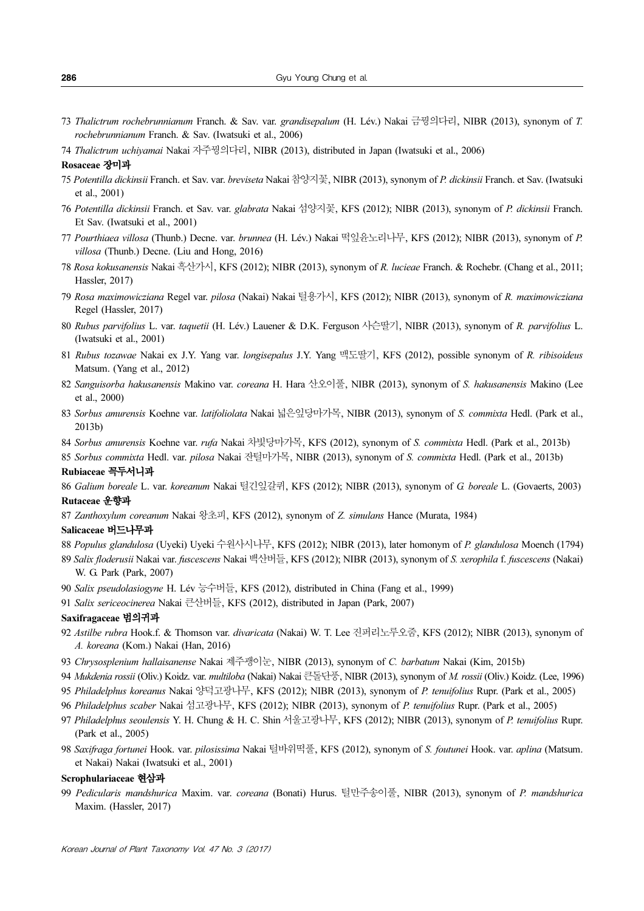- 73 Thalictrum rochebrunnianum Franch. & Sav. var. grandisepalum (H. Lév.) Nakai 금꿩의다리, NIBR (2013), synonym of T. rochebrunnianum Franch. & Sav. (Iwatsuki et al., 2006)
- 74 Thalictrum uchiyamai Nakai 자주꿩의다리, NIBR (2013), distributed in Japan (Iwatsuki et al., 2006)

#### Rosaceae 장미과

- 75 Potentilla dickinsii Franch. et Sav. var. breviseta Nakai 참양지꽃, NIBR (2013), synonym of P. dickinsii Franch. et Sav. (Iwatsuki et al., 2001)
- 76 Potentilla dickinsii Franch. et Sav. var. glabrata Nakai 섬양지꽃, KFS (2012); NIBR (2013), synonym of P. dickinsii Franch. Et Sav. (Iwatsuki et al., 2001)
- 77 Pourthiaea villosa (Thunb.) Decne. var. brunnea (H. Lév.) Nakai 떡잎윤노리나무, KFS (2012); NIBR (2013), synonym of P. villosa (Thunb.) Decne. (Liu and Hong, 2016)
- 78 Rosa kokusanensis Nakai 흑산가시, KFS (2012); NIBR (2013), synonym of R. lucieae Franch. & Rochebr. (Chang et al., 2011; Hassler, 2017)
- 79 Rosa maximowicziana Regel var. pilosa (Nakai) Nakai 털용가시, KFS (2012); NIBR (2013), synonym of R. maximowicziana Regel (Hassler, 2017)
- 80 Rubus parvifolius L. var. taquetii (H. Lév.) Lauener & D.K. Ferguson 사슨딸기, NIBR (2013), synonym of R. parvifolius L. (Iwatsuki et al., 2001)
- 81 Rubus tozawae Nakai ex J.Y. Yang var. longisepalus J.Y. Yang 맥도딸기, KFS (2012), possible synonym of R. ribisoideus Matsum. (Yang et al., 2012)
- 82 Sanguisorba hakusanensis Makino var. coreana H. Hara 산오이풀, NIBR (2013), synonym of S. hakusanensis Makino (Lee et al., 2000)
- 83 Sorbus amurensis Koehne var. latifoliolata Nakai 넓은잎당마가목, NIBR (2013), synonym of S. commixta Hedl. (Park et al., 2013b)
- 84 Sorbus amurensis Koehne var. rufa Nakai 차빛당마가목, KFS (2012), synonym of S. commixta Hedl. (Park et al., 2013b)

85 Sorbus commixta Hedl. var. pilosa Nakai 잔털마가목, NIBR (2013), synonym of S. commixta Hedl. (Park et al., 2013b)

#### Rubiaceae 꼭두서니과

86 Galium boreale L. var. koreanum Nakai 털긴잎갈퀴, KFS (2012); NIBR (2013), synonym of G. boreale L. (Govaerts, 2003) Rutaceae 운향과

87 Zanthoxylum coreanum Nakai 왕초피, KFS (2012), synonym of Z. simulans Hance (Murata, 1984)

### Salicaceae 버드나무과

- 88 Populus glandulosa (Uyeki) Uyeki 수원사시나무, KFS (2012); NIBR (2013), later homonym of P. glandulosa Moench (1794)
- 89 Salix floderusii Nakai var. fuscescens Nakai 백산버들, KFS (2012); NIBR (2013), synonym of S. xerophila f. fuscescens (Nakai) W. G. Park (Park, 2007)
- 90 Salix pseudolasiogyne H. Lév 능수버들, KFS (2012), distributed in China (Fang et al., 1999)
- 91 Salix sericeocinerea Nakai 큰산버들, KFS (2012), distributed in Japan (Park, 2007)

#### Saxifragaceae 범의귀과

- 92 Astilbe rubra Hook.f. & Thomson var. divaricata (Nakai) W. T. Lee 진퍼리노루오줌, KFS (2012); NIBR (2013), synonym of A. koreana (Kom.) Nakai (Han, 2016)
- 93 Chrysosplenium hallaisanense Nakai 제주괭이눈, NIBR (2013), synonym of C. barbatum Nakai (Kim, 2015b)
- 94 Mukdenia rossii (Oliv.) Koidz. var. multiloba (Nakai) Nakai 큰돌단풍, NIBR (2013), synonym of M. rossii (Oliv.) Koidz. (Lee, 1996)
- 95 Philadelphus koreanus Nakai 양덕고광나무, KFS (2012); NIBR (2013), synonym of P. tenuifolius Rupr. (Park et al., 2005)
- 96 Philadelphus scaber Nakai 섬고광나무, KFS (2012); NIBR (2013), synonym of P. tenuifolius Rupr. (Park et al., 2005)
- 97 Philadelphus seoulensis Y. H. Chung & H. C. Shin 서울고광나무, KFS (2012); NIBR (2013), synonym of P. tenuifolius Rupr. (Park et al., 2005)
- 98 Saxifraga fortunei Hook. var. pilosissima Nakai 털바위떡풀, KFS (2012), synonym of S. foutunei Hook. var. aplina (Matsum. et Nakai) Nakai (Iwatsuki et al., 2001)

#### Scrophulariaceae 현삼과

99 Pedicularis mandshurica Maxim. var. coreana (Bonati) Hurus. 털만주송이풀, NIBR (2013), synonym of P. mandshurica Maxim. (Hassler, 2017)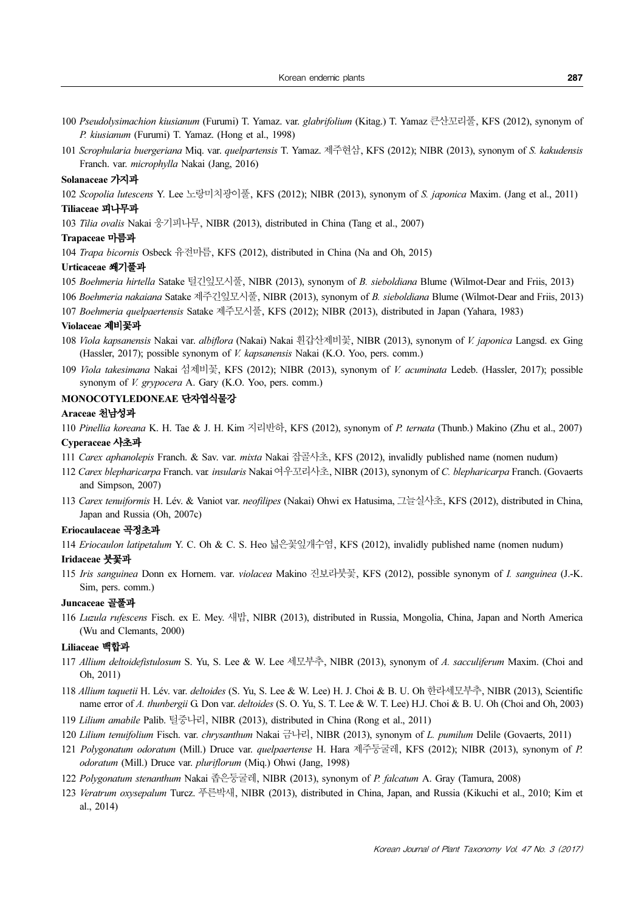- 100 Pseudolysimachion kiusianum (Furumi) T. Yamaz. var. glabrifolium (Kitag.) T. Yamaz 큰산꼬리풀, KFS (2012), synonym of P. kiusianum (Furumi) T. Yamaz. (Hong et al., 1998)
- 101 Scrophularia buergeriana Miq. var. quelpartensis T. Yamaz. 제주현삼, KFS (2012); NIBR (2013), synonym of S. kakudensis Franch. var. microphylla Nakai (Jang, 2016)

### Solanaceae 가지과

102 Scopolia lutescens Y. Lee 노랑미치광이풀, KFS (2012); NIBR (2013), synonym of S. japonica Maxim. (Jang et al., 2011) Tiliaceae 피나무과

103 Tilia ovalis Nakai 웅기피나무, NIBR (2013), distributed in China (Tang et al., 2007)

### Trapaceae 마름과

104 Trapa bicornis Osbeck 유전마름, KFS (2012), distributed in China (Na and Oh, 2015)

#### Urticaceae 쐐기풀과

105 Boehmeria hirtella Satake 털긴잎모시풀, NIBR (2013), synonym of B. sieboldiana Blume (Wilmot-Dear and Friis, 2013)

106 Boehmeria nakaiana Satake 제주긴잎모시풀, NIBR (2013), synonym of B. sieboldiana Blume (Wilmot-Dear and Friis, 2013) 107 Boehmeria quelpaertensis Satake 제주모시풀, KFS (2012); NIBR (2013), distributed in Japan (Yahara, 1983)

#### Violaceae 제비꽃과

- 108 Viola kapsanensis Nakai var. albiflora (Nakai) Nakai 흰갑산제비꽃, NIBR (2013), synonym of V. japonica Langsd. ex Ging (Hassler, 2017); possible synonym of V. kapsanensis Nakai (K.O. Yoo, pers. comm.)
- 109 Viola takesimana Nakai 섬제비꽃, KFS (2012); NIBR (2013), synonym of V. acuminata Ledeb. (Hassler, 2017); possible synonym of *V. grypocera* A. Gary (K.O. Yoo, pers. comm.)

### MONOCOTYLEDONEAE 단자엽식물강

### Araceae 천남성과

110 Pinellia koreana K. H. Tae & J. H. Kim 지리반하, KFS (2012), synonym of P. ternata (Thunb.) Makino (Zhu et al., 2007) Cyperaceae 사초과

- 111 Carex aphanolepis Franch. & Sav. var. mixta Nakai 잡골사초, KFS (2012), invalidly published name (nomen nudum)
- 112 Carex blepharicarpa Franch. var. insularis Nakai 여우꼬리사초, NIBR (2013), synonym of C. blepharicarpa Franch. (Govaerts and Simpson, 2007)
- 113 Carex tenuiformis H. Lév. & Vaniot var. neofilipes (Nakai) Ohwi ex Hatusima, 그늘실사초, KFS (2012), distributed in China, Japan and Russia (Oh, 2007c)

#### Eriocaulaceae 곡정초과

114 Eriocaulon latipetalum Y. C. Oh & C. S. Heo 넓은꽃잎개수염, KFS (2012), invalidly published name (nomen nudum)

### Iridaceae 붓꽃과

115 Iris sanguinea Donn ex Hornem. var. violacea Makino 진보라붓꽃, KFS (2012), possible synonym of I. sanguinea (J.-K. Sim, pers. comm.)

#### Juncaceae 골풀과

116 Luzula rufescens Fisch. ex E. Mey. 새밥, NIBR (2013), distributed in Russia, Mongolia, China, Japan and North America (Wu and Clemants, 2000)

### Liliaceae 백합과

- 117 Allium deltoidefistulosum S. Yu, S. Lee & W. Lee 세모부추, NIBR (2013), synonym of A. sacculiferum Maxim. (Choi and Oh, 2011)
- 118 Allium taquetii H. Lév. var. deltoides (S. Yu, S. Lee & W. Lee) H. J. Choi & B. U. Oh 한라세모부추, NIBR (2013), Scientific name error of A. thunbergii G. Don var. deltoides (S. O. Yu, S. T. Lee & W. T. Lee) H.J. Choi & B. U. Oh (Choi and Oh, 2003)
- 119 Lilium amabile Palib. 털중나리, NIBR (2013), distributed in China (Rong et al., 2011)
- 120 Lilium tenuifolium Fisch. var. chrysanthum Nakai 금나리, NIBR (2013), synonym of L. pumilum Delile (Govaerts, 2011)
- 121 Polygonatum odoratum (Mill.) Druce var. quelpaertense H. Hara 제주둥굴레, KFS (2012); NIBR (2013), synonym of P. odoratum (Mill.) Druce var. pluriflorum (Miq.) Ohwi (Jang, 1998)
- 122 Polygonatum stenanthum Nakai 좁은둥굴레, NIBR (2013), synonym of P. falcatum A. Gray (Tamura, 2008)
- 123 Veratrum oxysepalum Turcz. 푸른박새, NIBR (2013), distributed in China, Japan, and Russia (Kikuchi et al., 2010; Kim et al., 2014)